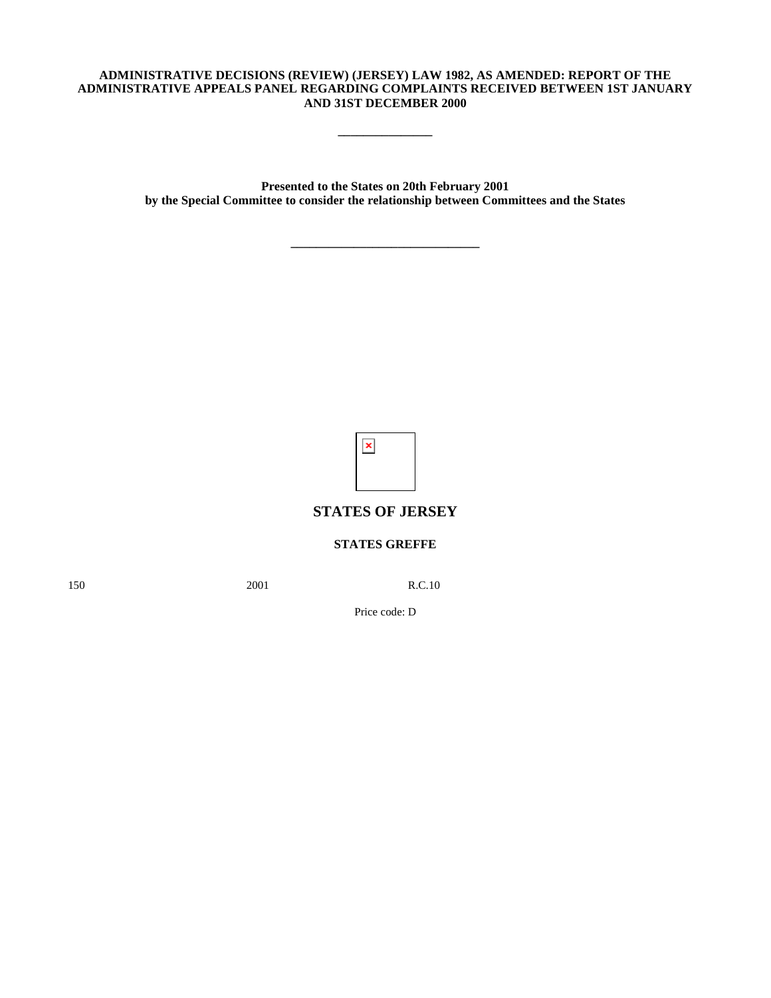## **ADMINISTRATIVE DECISIONS (REVIEW) (JERSEY) LAW 1982, AS AMENDED: REPORT OF THE ADMINISTRATIVE APPEALS PANEL REGARDING COMPLAINTS RECEIVED BETWEEN 1ST JANUARY AND 31ST DECEMBER 2000**

**\_\_\_\_\_\_\_\_\_\_\_\_\_\_\_**

**Presented to the States on 20th February 2001 by the Special Committee to consider the relationship between Committees and the States**

**\_\_\_\_\_\_\_\_\_\_\_\_\_\_\_\_\_\_\_\_\_\_\_\_\_\_\_\_\_\_**

 $\pmb{\times}$ 

# **STATES OF JERSEY**

# **STATES GREFFE**

150 2001 R.C.10

Price code: D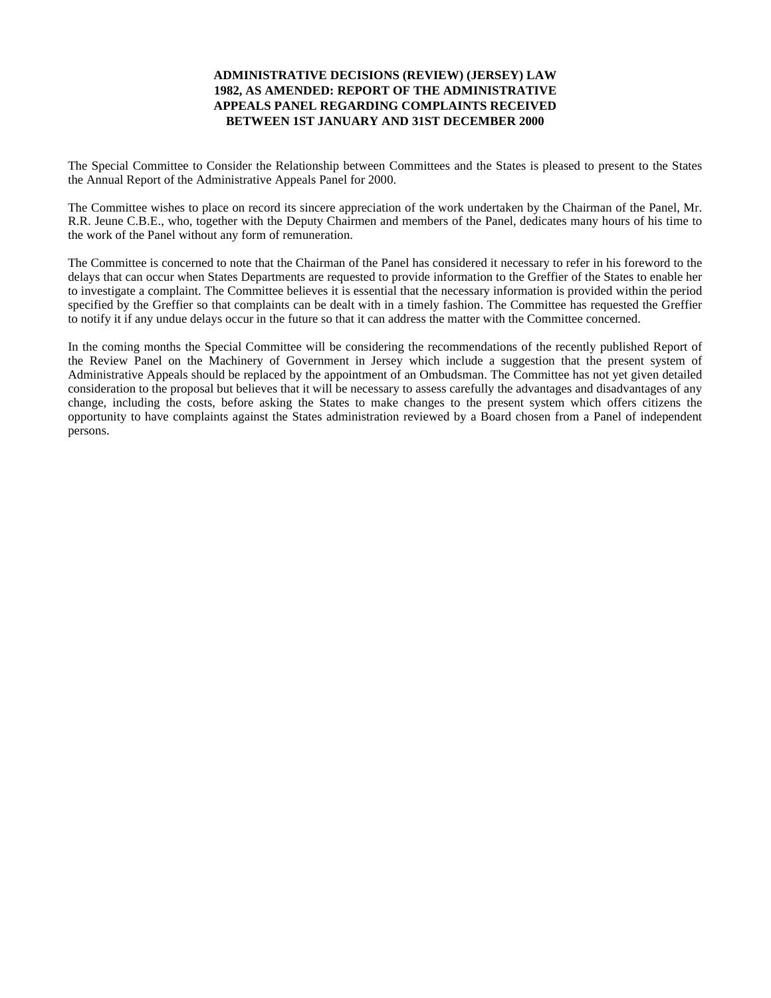# **ADMINISTRATIVE DECISIONS (REVIEW) (JERSEY) LAW 1982, AS AMENDED: REPORT OF THE ADMINISTRATIVE APPEALS PANEL REGARDING COMPLAINTS RECEIVED BETWEEN 1ST JANUARY AND 31ST DECEMBER 2000**

The Special Committee to Consider the Relationship between Committees and the States is pleased to present to the States the Annual Report of the Administrative Appeals Panel for 2000.

The Committee wishes to place on record its sincere appreciation of the work undertaken by the Chairman of the Panel, Mr. R.R. Jeune C.B.E., who, together with the Deputy Chairmen and members of the Panel, dedicates many hours of his time to the work of the Panel without any form of remuneration.

The Committee is concerned to note that the Chairman of the Panel has considered it necessary to refer in his foreword to the delays that can occur when States Departments are requested to provide information to the Greffier of the States to enable her to investigate a complaint. The Committee believes it is essential that the necessary information is provided within the period specified by the Greffier so that complaints can be dealt with in a timely fashion. The Committee has requested the Greffier to notify it if any undue delays occur in the future so that it can address the matter with the Committee concerned.

In the coming months the Special Committee will be considering the recommendations of the recently published Report of the Review Panel on the Machinery of Government in Jersey which include a suggestion that the present system of Administrative Appeals should be replaced by the appointment of an Ombudsman. The Committee has not yet given detailed consideration to the proposal but believes that it will be necessary to assess carefully the advantages and disadvantages of any change, including the costs, before asking the States to make changes to the present system which offers citizens the opportunity to have complaints against the States administration reviewed by a Board chosen from a Panel of independent persons.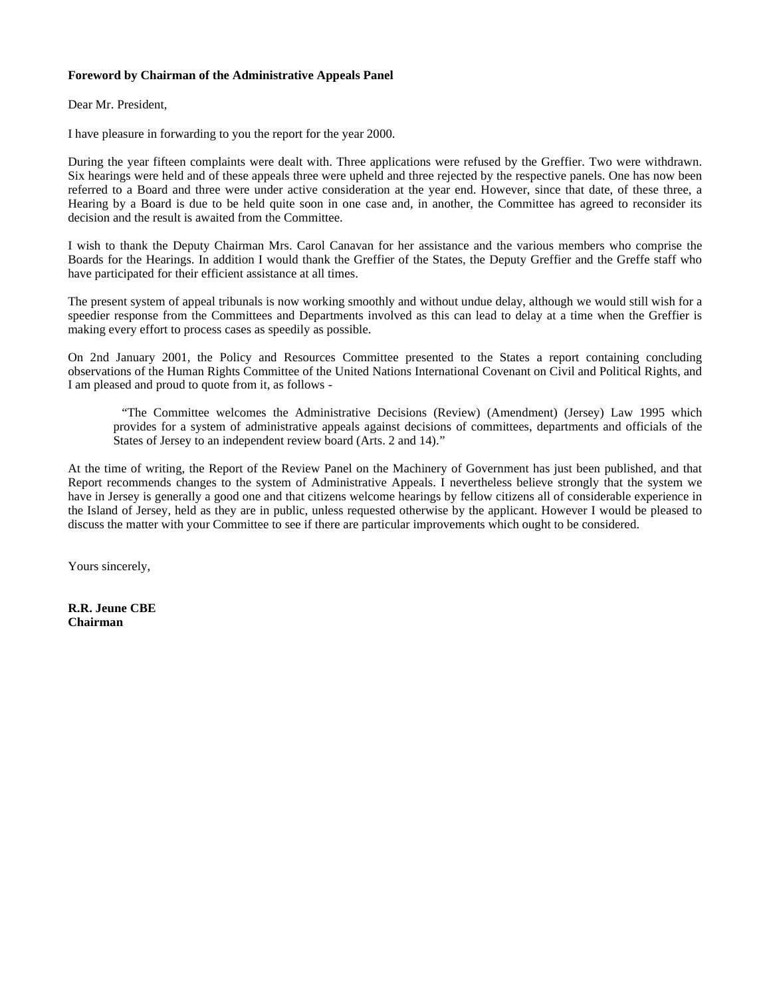# **Foreword by Chairman of the Administrative Appeals Panel**

Dear Mr. President,

I have pleasure in forwarding to you the report for the year 2000.

During the year fifteen complaints were dealt with. Three applications were refused by the Greffier. Two were withdrawn. Six hearings were held and of these appeals three were upheld and three rejected by the respective panels. One has now been referred to a Board and three were under active consideration at the year end. However, since that date, of these three, a Hearing by a Board is due to be held quite soon in one case and, in another, the Committee has agreed to reconsider its decision and the result is awaited from the Committee.

I wish to thank the Deputy Chairman Mrs. Carol Canavan for her assistance and the various members who comprise the Boards for the Hearings. In addition I would thank the Greffier of the States, the Deputy Greffier and the Greffe staff who have participated for their efficient assistance at all times.

The present system of appeal tribunals is now working smoothly and without undue delay, although we would still wish for a speedier response from the Committees and Departments involved as this can lead to delay at a time when the Greffier is making every effort to process cases as speedily as possible.

On 2nd January 2001, the Policy and Resources Committee presented to the States a report containing concluding observations of the Human Rights Committee of the United Nations International Covenant on Civil and Political Rights, and I am pleased and proud to quote from it, as follows -

 "The Committee welcomes the Administrative Decisions (Review) (Amendment) (Jersey) Law 1995 which provides for a system of administrative appeals against decisions of committees, departments and officials of the States of Jersey to an independent review board (Arts. 2 and 14)."

At the time of writing, the Report of the Review Panel on the Machinery of Government has just been published, and that Report recommends changes to the system of Administrative Appeals. I nevertheless believe strongly that the system we have in Jersey is generally a good one and that citizens welcome hearings by fellow citizens all of considerable experience in the Island of Jersey, held as they are in public, unless requested otherwise by the applicant. However I would be pleased to discuss the matter with your Committee to see if there are particular improvements which ought to be considered.

Yours sincerely,

**R.R. Jeune CBE Chairman**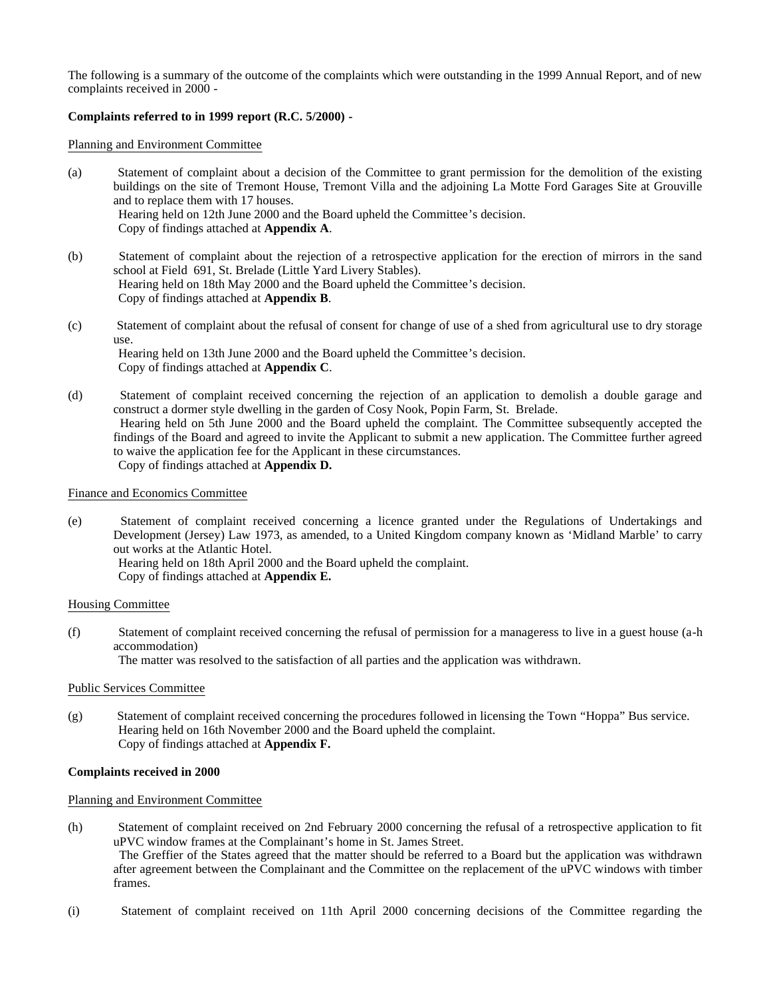The following is a summary of the outcome of the complaints which were outstanding in the 1999 Annual Report, and of new complaints received in 2000 -

# **Complaints referred to in 1999 report (R.C. 5/2000) -**

Planning and Environment Committee

- (a) Statement of complaint about a decision of the Committee to grant permission for the demolition of the existing buildings on the site of Tremont House, Tremont Villa and the adjoining La Motte Ford Garages Site at Grouville and to replace them with 17 houses. Hearing held on 12th June 2000 and the Board upheld the Committee's decision. Copy of findings attached at **Appendix A**.
- (b) Statement of complaint about the rejection of a retrospective application for the erection of mirrors in the sand school at Field 691, St. Brelade (Little Yard Livery Stables). Hearing held on 18th May 2000 and the Board upheld the Committee's decision. Copy of findings attached at **Appendix B**.
- (c) Statement of complaint about the refusal of consent for change of use of a shed from agricultural use to dry storage use. Hearing held on 13th June 2000 and the Board upheld the Committee's decision. Copy of findings attached at **Appendix C**.
- (d) Statement of complaint received concerning the rejection of an application to demolish a double garage and construct a dormer style dwelling in the garden of Cosy Nook, Popin Farm, St. Brelade. Hearing held on 5th June 2000 and the Board upheld the complaint. The Committee subsequently accepted the findings of the Board and agreed to invite the Applicant to submit a new application. The Committee further agreed to waive the application fee for the Applicant in these circumstances. Copy of findings attached at **Appendix D.**

# Finance and Economics Committee

(e) Statement of complaint received concerning a licence granted under the Regulations of Undertakings and Development (Jersey) Law 1973, as amended, to a United Kingdom company known as 'Midland Marble' to carry out works at the Atlantic Hotel. Hearing held on 18th April 2000 and the Board upheld the complaint.

Copy of findings attached at **Appendix E.**

## Housing Committee

(f) Statement of complaint received concerning the refusal of permission for a manageress to live in a guest house (a-h accommodation)

The matter was resolved to the satisfaction of all parties and the application was withdrawn.

#### Public Services Committee

(g) Statement of complaint received concerning the procedures followed in licensing the Town "Hoppa" Bus service. Hearing held on 16th November 2000 and the Board upheld the complaint. Copy of findings attached at **Appendix F.**

#### **Complaints received in 2000**

#### Planning and Environment Committee

- (h) Statement of complaint received on 2nd February 2000 concerning the refusal of a retrospective application to fit uPVC window frames at the Complainant's home in St. James Street. The Greffier of the States agreed that the matter should be referred to a Board but the application was withdrawn after agreement between the Complainant and the Committee on the replacement of the uPVC windows with timber frames.
- (i) Statement of complaint received on 11th April 2000 concerning decisions of the Committee regarding the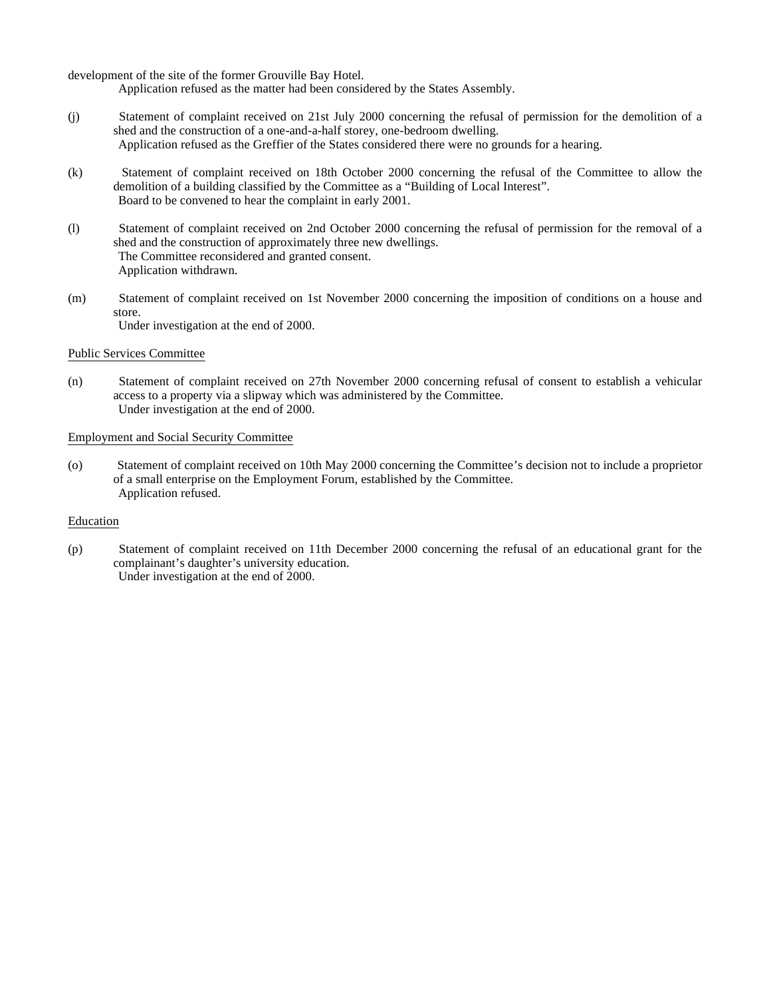development of the site of the former Grouville Bay Hotel.

Application refused as the matter had been considered by the States Assembly.

- (j) Statement of complaint received on 21st July 2000 concerning the refusal of permission for the demolition of a shed and the construction of a one-and-a-half storey, one-bedroom dwelling. Application refused as the Greffier of the States considered there were no grounds for a hearing.
- (k) Statement of complaint received on 18th October 2000 concerning the refusal of the Committee to allow the demolition of a building classified by the Committee as a "Building of Local Interest". Board to be convened to hear the complaint in early 2001.
- (l) Statement of complaint received on 2nd October 2000 concerning the refusal of permission for the removal of a shed and the construction of approximately three new dwellings. The Committee reconsidered and granted consent. Application withdrawn.
- (m) Statement of complaint received on 1st November 2000 concerning the imposition of conditions on a house and store. Under investigation at the end of 2000.

#### Public Services Committee

(n) Statement of complaint received on 27th November 2000 concerning refusal of consent to establish a vehicular access to a property via a slipway which was administered by the Committee. Under investigation at the end of 2000.

# Employment and Social Security Committee

(o) Statement of complaint received on 10th May 2000 concerning the Committee's decision not to include a proprietor of a small enterprise on the Employment Forum, established by the Committee. Application refused.

#### Education

(p) Statement of complaint received on 11th December 2000 concerning the refusal of an educational grant for the complainant's daughter's university education. Under investigation at the end of 2000.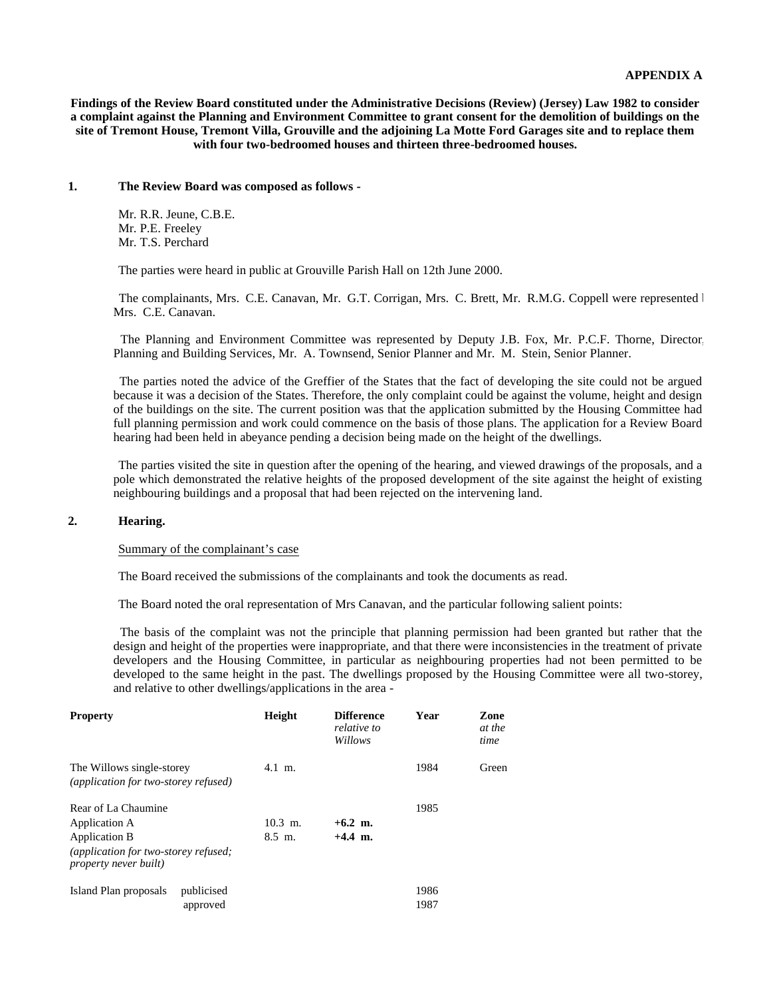**Findings of the Review Board constituted under the Administrative Decisions (Review) (Jersey) Law 1982 to consider a complaint against the Planning and Environment Committee to grant consent for the demolition of buildings on the site of Tremont House, Tremont Villa, Grouville and the adjoining La Motte Ford Garages site and to replace them with four two-bedroomed houses and thirteen three-bedroomed houses.**

#### **1. The Review Board was composed as follows -**

 Mr. R.R. Jeune, C.B.E. Mr. P.E. Freeley Mr. T.S. Perchard

The parties were heard in public at Grouville Parish Hall on 12th June 2000.

The complainants, Mrs. C.E. Canavan, Mr. G.T. Corrigan, Mrs. C. Brett, Mr. R.M.G. Coppell were represented by Mrs. C.E. Canavan.

 The Planning and Environment Committee was represented by Deputy J.B. Fox, Mr. P.C.F. Thorne, Director, Planning and Building Services, Mr. A. Townsend, Senior Planner and Mr. M. Stein, Senior Planner.

 The parties noted the advice of the Greffier of the States that the fact of developing the site could not be argued because it was a decision of the States. Therefore, the only complaint could be against the volume, height and design of the buildings on the site. The current position was that the application submitted by the Housing Committee had full planning permission and work could commence on the basis of those plans. The application for a Review Board hearing had been held in abeyance pending a decision being made on the height of the dwellings.

 The parties visited the site in question after the opening of the hearing, and viewed drawings of the proposals, and a pole which demonstrated the relative heights of the proposed development of the site against the height of existing neighbouring buildings and a proposal that had been rejected on the intervening land.

# **2. Hearing.**

Summary of the complainant's case

The Board received the submissions of the complainants and took the documents as read.

The Board noted the oral representation of Mrs Canavan, and the particular following salient points:

 The basis of the complaint was not the principle that planning permission had been granted but rather that the design and height of the properties were inappropriate, and that there were inconsistencies in the treatment of private developers and the Housing Committee, in particular as neighbouring properties had not been permitted to be developed to the same height in the past. The dwellings proposed by the Housing Committee were all two-storey, and relative to other dwellings/applications in the area -

| <b>Property</b>                                                                               | Height                           | <b>Difference</b><br>relative to<br>Willows | Year         | Zone<br>at the<br>time |
|-----------------------------------------------------------------------------------------------|----------------------------------|---------------------------------------------|--------------|------------------------|
| The Willows single-storey<br>(application for two-storey refused)                             | $4.1 \text{ m.}$                 |                                             | 1984         | Green                  |
| Rear of La Chaumine<br>Application A<br>Application B<br>(application for two-storey refused; | $10.3$ m.<br>$8.5 \; \text{m}$ . | $+6.2$ m.<br>$+4.4$ m.                      | 1985         |                        |
| <i>property never built)</i>                                                                  |                                  |                                             |              |                        |
| publicised<br>Island Plan proposals<br>approved                                               |                                  |                                             | 1986<br>1987 |                        |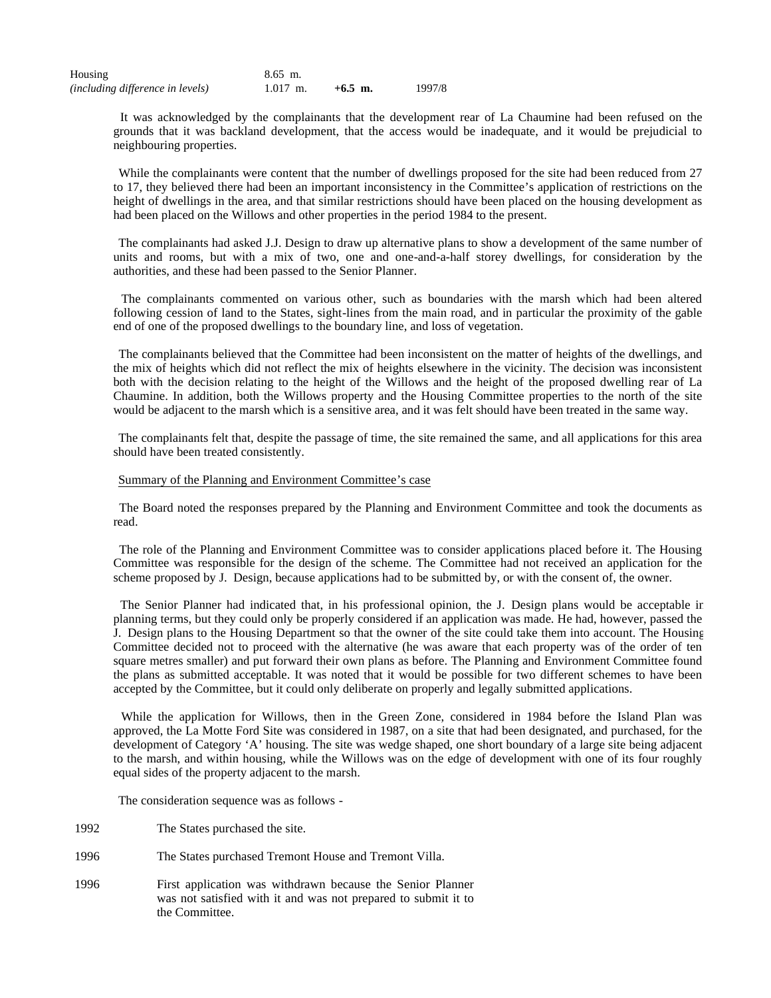| Housing                                 | 8.65 m.    |           |        |
|-----------------------------------------|------------|-----------|--------|
| <i>(including difference in levels)</i> | $1.017$ m. | $+6.5$ m. | 1997/8 |

 It was acknowledged by the complainants that the development rear of La Chaumine had been refused on the grounds that it was backland development, that the access would be inadequate, and it would be prejudicial to neighbouring properties.

While the complainants were content that the number of dwellings proposed for the site had been reduced from 27 to 17, they believed there had been an important inconsistency in the Committee's application of restrictions on the height of dwellings in the area, and that similar restrictions should have been placed on the housing development as had been placed on the Willows and other properties in the period 1984 to the present.

 The complainants had asked J.J. Design to draw up alternative plans to show a development of the same number of units and rooms, but with a mix of two, one and one-and-a-half storey dwellings, for consideration by the authorities, and these had been passed to the Senior Planner.

 The complainants commented on various other, such as boundaries with the marsh which had been altered following cession of land to the States, sight-lines from the main road, and in particular the proximity of the gable end of one of the proposed dwellings to the boundary line, and loss of vegetation.

 The complainants believed that the Committee had been inconsistent on the matter of heights of the dwellings, and the mix of heights which did not reflect the mix of heights elsewhere in the vicinity. The decision was inconsistent both with the decision relating to the height of the Willows and the height of the proposed dwelling rear of La Chaumine. In addition, both the Willows property and the Housing Committee properties to the north of the site would be adjacent to the marsh which is a sensitive area, and it was felt should have been treated in the same way.

 The complainants felt that, despite the passage of time, the site remained the same, and all applications for this area should have been treated consistently.

#### Summary of the Planning and Environment Committee's case

 The Board noted the responses prepared by the Planning and Environment Committee and took the documents as read.

 The role of the Planning and Environment Committee was to consider applications placed before it. The Housing Committee was responsible for the design of the scheme. The Committee had not received an application for the scheme proposed by J. Design, because applications had to be submitted by, or with the consent of, the owner.

 The Senior Planner had indicated that, in his professional opinion, the J. Design plans would be acceptable in planning terms, but they could only be properly considered if an application was made. He had, however, passed the J. Design plans to the Housing Department so that the owner of the site could take them into account. The Housing Committee decided not to proceed with the alternative (he was aware that each property was of the order of ten square metres smaller) and put forward their own plans as before. The Planning and Environment Committee found the plans as submitted acceptable. It was noted that it would be possible for two different schemes to have been accepted by the Committee, but it could only deliberate on properly and legally submitted applications.

 While the application for Willows, then in the Green Zone, considered in 1984 before the Island Plan was approved, the La Motte Ford Site was considered in 1987, on a site that had been designated, and purchased, for the development of Category 'A' housing. The site was wedge shaped, one short boundary of a large site being adjacent to the marsh, and within housing, while the Willows was on the edge of development with one of its four roughly equal sides of the property adjacent to the marsh.

The consideration sequence was as follows -

- 1992 The States purchased the site.
- 1996 The States purchased Tremont House and Tremont Villa.
- 1996 First application was withdrawn because the Senior Planner was not satisfied with it and was not prepared to submit it to the Committee.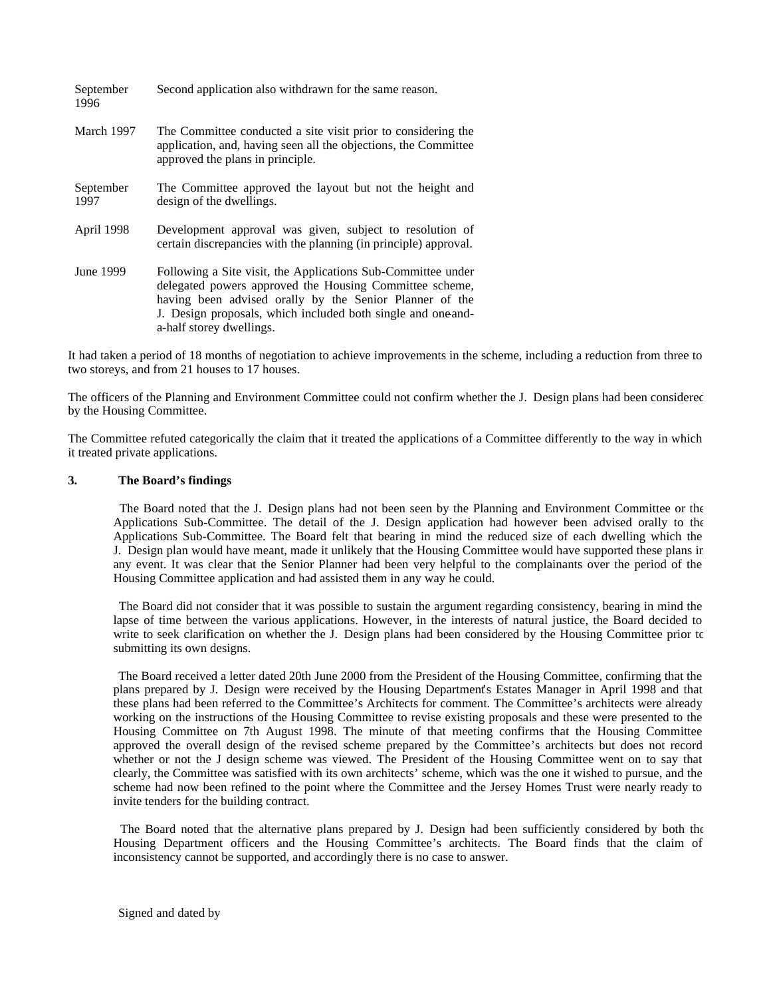| September<br>1996 | Second application also withdrawn for the same reason.                                                                                                                                                                                                                         |
|-------------------|--------------------------------------------------------------------------------------------------------------------------------------------------------------------------------------------------------------------------------------------------------------------------------|
| March 1997        | The Committee conducted a site visit prior to considering the<br>application, and, having seen all the objections, the Committee<br>approved the plans in principle.                                                                                                           |
| September<br>1997 | The Committee approved the layout but not the height and<br>design of the dwellings.                                                                                                                                                                                           |
| April 1998        | Development approval was given, subject to resolution of<br>certain discrepancies with the planning (in principle) approval.                                                                                                                                                   |
| June 1999         | Following a Site visit, the Applications Sub-Committee under<br>delegated powers approved the Housing Committee scheme,<br>having been advised orally by the Senior Planner of the<br>J. Design proposals, which included both single and one and-<br>a-half storey dwellings. |

It had taken a period of 18 months of negotiation to achieve improvements in the scheme, including a reduction from three to two storeys, and from 21 houses to 17 houses.

The officers of the Planning and Environment Committee could not confirm whether the J. Design plans had been considered by the Housing Committee.

The Committee refuted categorically the claim that it treated the applications of a Committee differently to the way in which it treated private applications.

#### **3. The Board's findings**

 The Board noted that the J. Design plans had not been seen by the Planning and Environment Committee or the Applications Sub-Committee. The detail of the J. Design application had however been advised orally to the Applications Sub-Committee. The Board felt that bearing in mind the reduced size of each dwelling which the J. Design plan would have meant, made it unlikely that the Housing Committee would have supported these plans in any event. It was clear that the Senior Planner had been very helpful to the complainants over the period of the Housing Committee application and had assisted them in any way he could.

 The Board did not consider that it was possible to sustain the argument regarding consistency, bearing in mind the lapse of time between the various applications. However, in the interests of natural justice, the Board decided to write to seek clarification on whether the J. Design plans had been considered by the Housing Committee prior to submitting its own designs.

 The Board received a letter dated 20th June 2000 from the President of the Housing Committee, confirming that the plans prepared by J. Design were received by the Housing Department's Estates Manager in April 1998 and that these plans had been referred to the Committee's Architects for comment. The Committee's architects were already working on the instructions of the Housing Committee to revise existing proposals and these were presented to the Housing Committee on 7th August 1998. The minute of that meeting confirms that the Housing Committee approved the overall design of the revised scheme prepared by the Committee's architects but does not record whether or not the J design scheme was viewed. The President of the Housing Committee went on to say that clearly, the Committee was satisfied with its own architects' scheme, which was the one it wished to pursue, and the scheme had now been refined to the point where the Committee and the Jersey Homes Trust were nearly ready to invite tenders for the building contract.

 The Board noted that the alternative plans prepared by J. Design had been sufficiently considered by both the Housing Department officers and the Housing Committee's architects. The Board finds that the claim of inconsistency cannot be supported, and accordingly there is no case to answer.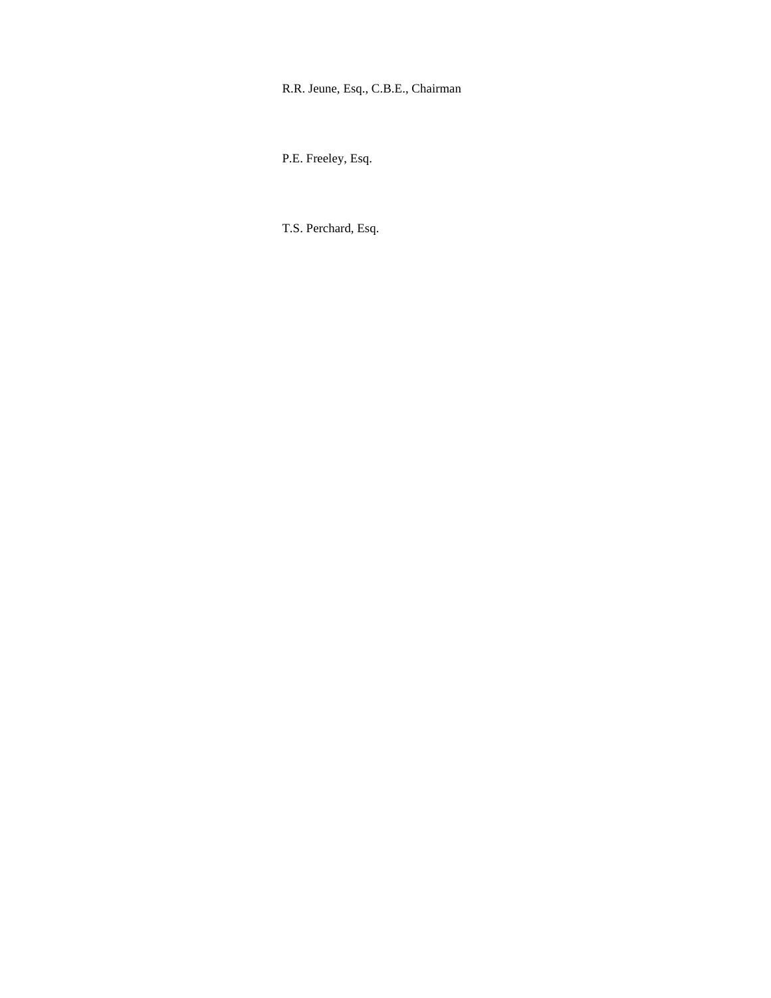# R.R. Jeune, Esq., C.B.E., Chairman

P.E. Freeley, Esq.

T.S. Perchard, Esq.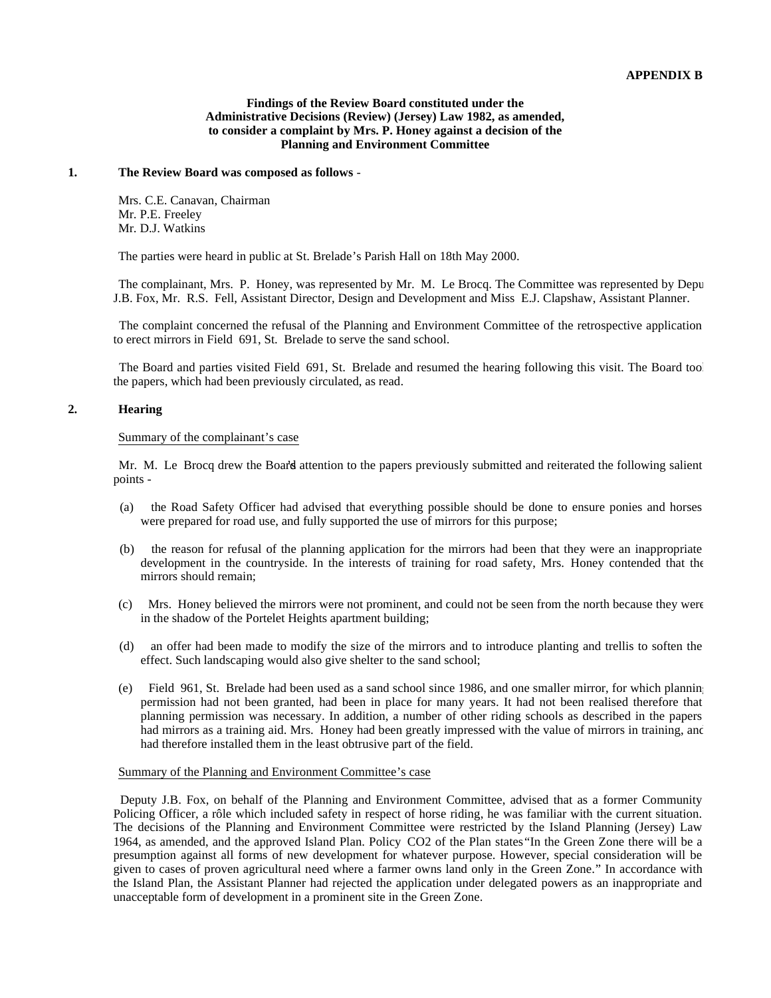#### **Findings of the Review Board constituted under the Administrative Decisions (Review) (Jersey) Law 1982, as amended, to consider a complaint by Mrs. P. Honey against a decision of the Planning and Environment Committee**

#### **1. The Review Board was composed as follows** -

 Mrs. C.E. Canavan, Chairman Mr. P.E. Freeley Mr. D.J. Watkins

The parties were heard in public at St. Brelade's Parish Hall on 18th May 2000.

The complainant, Mrs. P. Honey, was represented by Mr. M. Le Brocq. The Committee was represented by Depu J.B. Fox, Mr. R.S. Fell, Assistant Director, Design and Development and Miss E.J. Clapshaw, Assistant Planner.

 The complaint concerned the refusal of the Planning and Environment Committee of the retrospective application to erect mirrors in Field 691, St. Brelade to serve the sand school.

The Board and parties visited Field 691, St. Brelade and resumed the hearing following this visit. The Board took the papers, which had been previously circulated, as read.

# **2. Hearing**

#### Summary of the complainant's case

Mr. M. Le Brocq drew the Board attention to the papers previously submitted and reiterated the following salient points -

- (a) the Road Safety Officer had advised that everything possible should be done to ensure ponies and horses were prepared for road use, and fully supported the use of mirrors for this purpose;
- (b) the reason for refusal of the planning application for the mirrors had been that they were an inappropriate development in the countryside. In the interests of training for road safety, Mrs. Honey contended that the mirrors should remain;
- (c) Mrs. Honey believed the mirrors were not prominent, and could not be seen from the north because they were in the shadow of the Portelet Heights apartment building;
- (d) an offer had been made to modify the size of the mirrors and to introduce planting and trellis to soften the effect. Such landscaping would also give shelter to the sand school;
- (e) Field 961, St. Brelade had been used as a sand school since 1986, and one smaller mirror, for which planning permission had not been granted, had been in place for many years. It had not been realised therefore that planning permission was necessary. In addition, a number of other riding schools as described in the papers had mirrors as a training aid. Mrs. Honey had been greatly impressed with the value of mirrors in training, and had therefore installed them in the least obtrusive part of the field.

# Summary of the Planning and Environment Committee's case

 Deputy J.B. Fox, on behalf of the Planning and Environment Committee, advised that as a former Community Policing Officer, a rôle which included safety in respect of horse riding, he was familiar with the current situation. The decisions of the Planning and Environment Committee were restricted by the Island Planning (Jersey) Law 1964, as amended, and the approved Island Plan. Policy CO2 of the Plan states"In the Green Zone there will be a presumption against all forms of new development for whatever purpose. However, special consideration will be given to cases of proven agricultural need where a farmer owns land only in the Green Zone." In accordance with the Island Plan, the Assistant Planner had rejected the application under delegated powers as an inappropriate and unacceptable form of development in a prominent site in the Green Zone.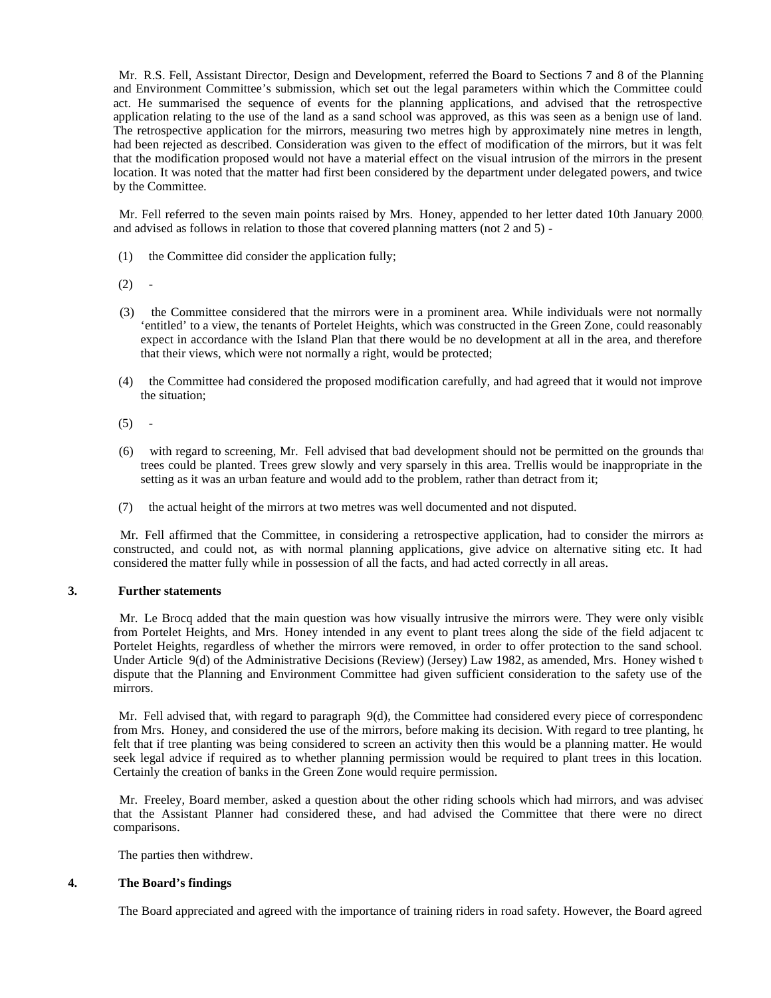Mr. R.S. Fell, Assistant Director, Design and Development, referred the Board to Sections 7 and 8 of the Planning and Environment Committee's submission, which set out the legal parameters within which the Committee could act. He summarised the sequence of events for the planning applications, and advised that the retrospective application relating to the use of the land as a sand school was approved, as this was seen as a benign use of land. The retrospective application for the mirrors, measuring two metres high by approximately nine metres in length, had been rejected as described. Consideration was given to the effect of modification of the mirrors, but it was felt that the modification proposed would not have a material effect on the visual intrusion of the mirrors in the present location. It was noted that the matter had first been considered by the department under delegated powers, and twice by the Committee.

 Mr. Fell referred to the seven main points raised by Mrs. Honey, appended to her letter dated 10th January 2000, and advised as follows in relation to those that covered planning matters (not 2 and 5) -

- (1) the Committee did consider the application fully;
- $(2) -$
- (3) the Committee considered that the mirrors were in a prominent area. While individuals were not normally 'entitled' to a view, the tenants of Portelet Heights, which was constructed in the Green Zone, could reasonably expect in accordance with the Island Plan that there would be no development at all in the area, and therefore that their views, which were not normally a right, would be protected;
- (4) the Committee had considered the proposed modification carefully, and had agreed that it would not improve the situation;
- $(5)$
- (6) with regard to screening, Mr. Fell advised that bad development should not be permitted on the grounds that trees could be planted. Trees grew slowly and very sparsely in this area. Trellis would be inappropriate in the setting as it was an urban feature and would add to the problem, rather than detract from it;
- (7) the actual height of the mirrors at two metres was well documented and not disputed.

 Mr. Fell affirmed that the Committee, in considering a retrospective application, had to consider the mirrors as constructed, and could not, as with normal planning applications, give advice on alternative siting etc. It had considered the matter fully while in possession of all the facts, and had acted correctly in all areas.

# **3. Further statements**

 Mr. Le Brocq added that the main question was how visually intrusive the mirrors were. They were only visible from Portelet Heights, and Mrs. Honey intended in any event to plant trees along the side of the field adjacent to Portelet Heights, regardless of whether the mirrors were removed, in order to offer protection to the sand school. Under Article 9(d) of the Administrative Decisions (Review) (Jersey) Law 1982, as amended, Mrs. Honey wished to dispute that the Planning and Environment Committee had given sufficient consideration to the safety use of the mirrors.

Mr. Fell advised that, with regard to paragraph 9(d), the Committee had considered every piece of correspondence from Mrs. Honey, and considered the use of the mirrors, before making its decision. With regard to tree planting, he felt that if tree planting was being considered to screen an activity then this would be a planning matter. He would seek legal advice if required as to whether planning permission would be required to plant trees in this location. Certainly the creation of banks in the Green Zone would require permission.

Mr. Freeley, Board member, asked a question about the other riding schools which had mirrors, and was advised that the Assistant Planner had considered these, and had advised the Committee that there were no direct comparisons.

The parties then withdrew.

#### **4. The Board's findings**

The Board appreciated and agreed with the importance of training riders in road safety. However, the Board agreed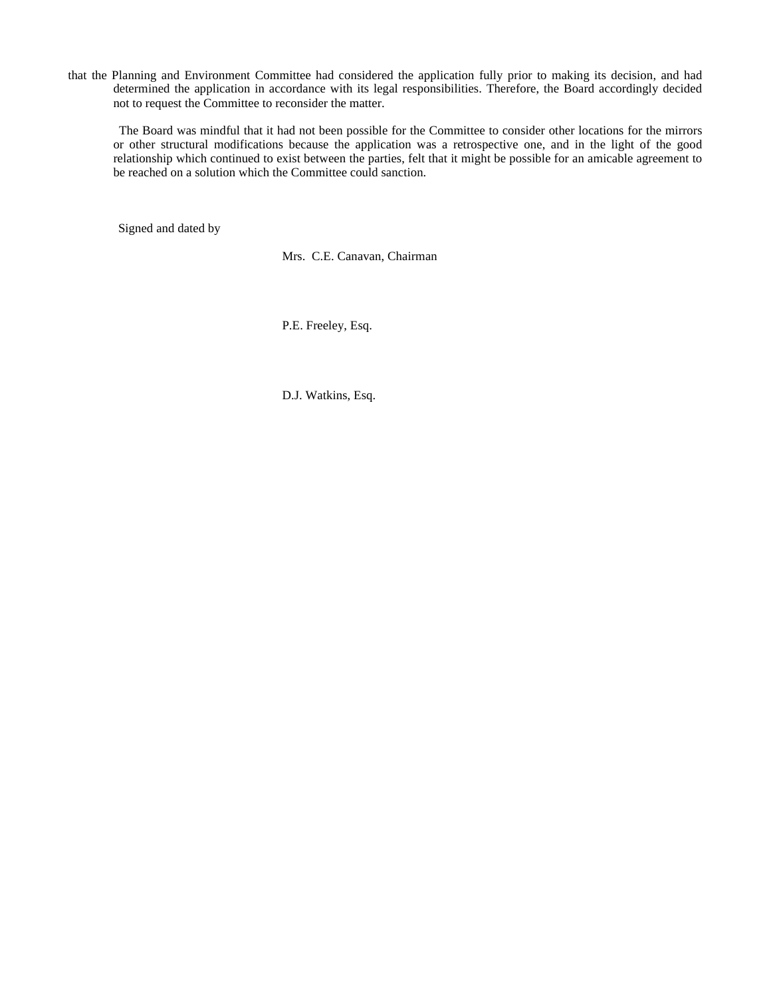that the Planning and Environment Committee had considered the application fully prior to making its decision, and had determined the application in accordance with its legal responsibilities. Therefore, the Board accordingly decided not to request the Committee to reconsider the matter.

 The Board was mindful that it had not been possible for the Committee to consider other locations for the mirrors or other structural modifications because the application was a retrospective one, and in the light of the good relationship which continued to exist between the parties, felt that it might be possible for an amicable agreement to be reached on a solution which the Committee could sanction.

Signed and dated by

Mrs. C.E. Canavan, Chairman

P.E. Freeley, Esq.

D.J. Watkins, Esq.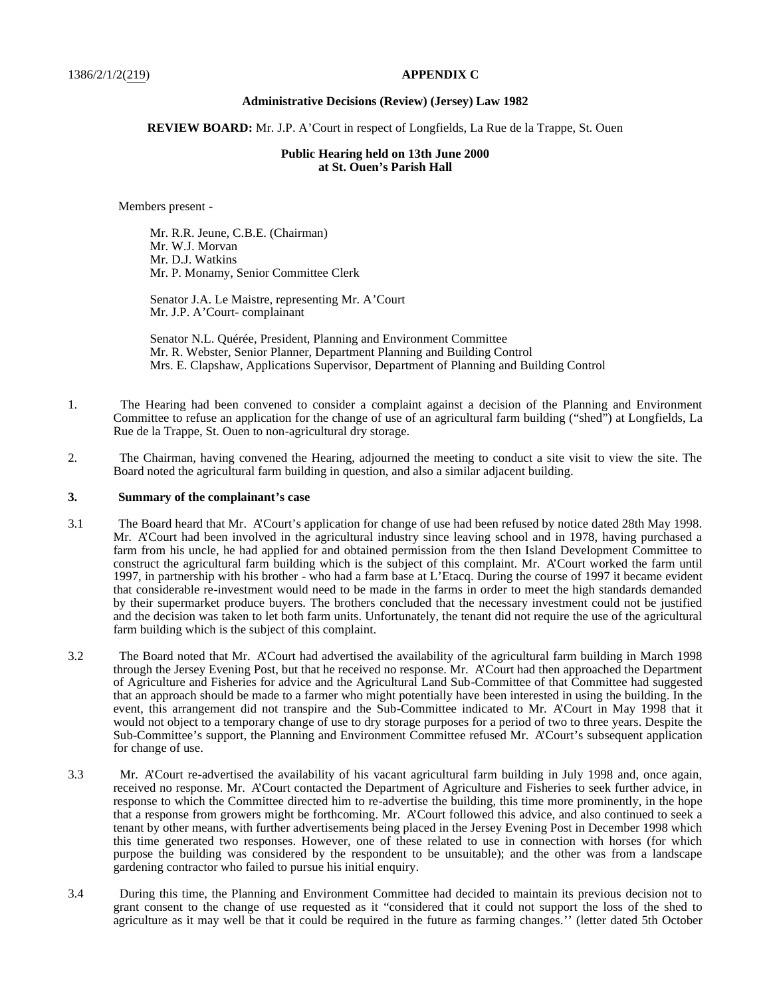#### **Administrative Decisions (Review) (Jersey) Law 1982**

#### **REVIEW BOARD:** Mr. J.P. A'Court in respect of Longfields, La Rue de la Trappe, St. Ouen

### **Public Hearing held on 13th June 2000 at St. Ouen's Parish Hall**

Members present -

 Mr. R.R. Jeune, C.B.E. (Chairman) Mr. W.J. Morvan Mr. D.J. Watkins Mr. P. Monamy, Senior Committee Clerk

 Senator J.A. Le Maistre, representing Mr. A'Court Mr. J.P. A'Court- complainant

 Senator N.L. Quérée, President, Planning and Environment Committee Mr. R. Webster, Senior Planner, Department Planning and Building Control Mrs. E. Clapshaw, Applications Supervisor, Department of Planning and Building Control

- 1. The Hearing had been convened to consider a complaint against a decision of the Planning and Environment Committee to refuse an application for the change of use of an agricultural farm building ("shed") at Longfields, La Rue de la Trappe, St. Ouen to non-agricultural dry storage.
- 2. The Chairman, having convened the Hearing, adjourned the meeting to conduct a site visit to view the site. The Board noted the agricultural farm building in question, and also a similar adjacent building.

#### **3. Summary of the complainant's case**

- 3.1 The Board heard that Mr. A'Court's application for change of use had been refused by notice dated 28th May 1998. Mr. A'Court had been involved in the agricultural industry since leaving school and in 1978, having purchased a farm from his uncle, he had applied for and obtained permission from the then Island Development Committee to construct the agricultural farm building which is the subject of this complaint. Mr. A'Court worked the farm until 1997, in partnership with his brother - who had a farm base at L'Etacq. During the course of 1997 it became evident that considerable re-investment would need to be made in the farms in order to meet the high standards demanded by their supermarket produce buyers. The brothers concluded that the necessary investment could not be justified and the decision was taken to let both farm units. Unfortunately, the tenant did not require the use of the agricultural farm building which is the subject of this complaint.
- 3.2 The Board noted that Mr. A'Court had advertised the availability of the agricultural farm building in March 1998 through the Jersey Evening Post, but that he received no response. Mr. A'Court had then approached the Department of Agriculture and Fisheries for advice and the Agricultural Land Sub-Committee of that Committee had suggested that an approach should be made to a farmer who might potentially have been interested in using the building. In the event, this arrangement did not transpire and the Sub-Committee indicated to Mr. A'Court in May 1998 that it would not object to a temporary change of use to dry storage purposes for a period of two to three years. Despite the Sub-Committee's support, the Planning and Environment Committee refused Mr. A'Court's subsequent application for change of use.
- 3.3 Mr. A'Court re-advertised the availability of his vacant agricultural farm building in July 1998 and, once again, received no response. Mr. A'Court contacted the Department of Agriculture and Fisheries to seek further advice, in response to which the Committee directed him to re-advertise the building, this time more prominently, in the hope that a response from growers might be forthcoming. Mr. A'Court followed this advice, and also continued to seek a tenant by other means, with further advertisements being placed in the Jersey Evening Post in December 1998 which this time generated two responses. However, one of these related to use in connection with horses (for which purpose the building was considered by the respondent to be unsuitable); and the other was from a landscape gardening contractor who failed to pursue his initial enquiry.
- 3.4 During this time, the Planning and Environment Committee had decided to maintain its previous decision not to grant consent to the change of use requested as it "considered that it could not support the loss of the shed to agriculture as it may well be that it could be required in the future as farming changes.'' (letter dated 5th October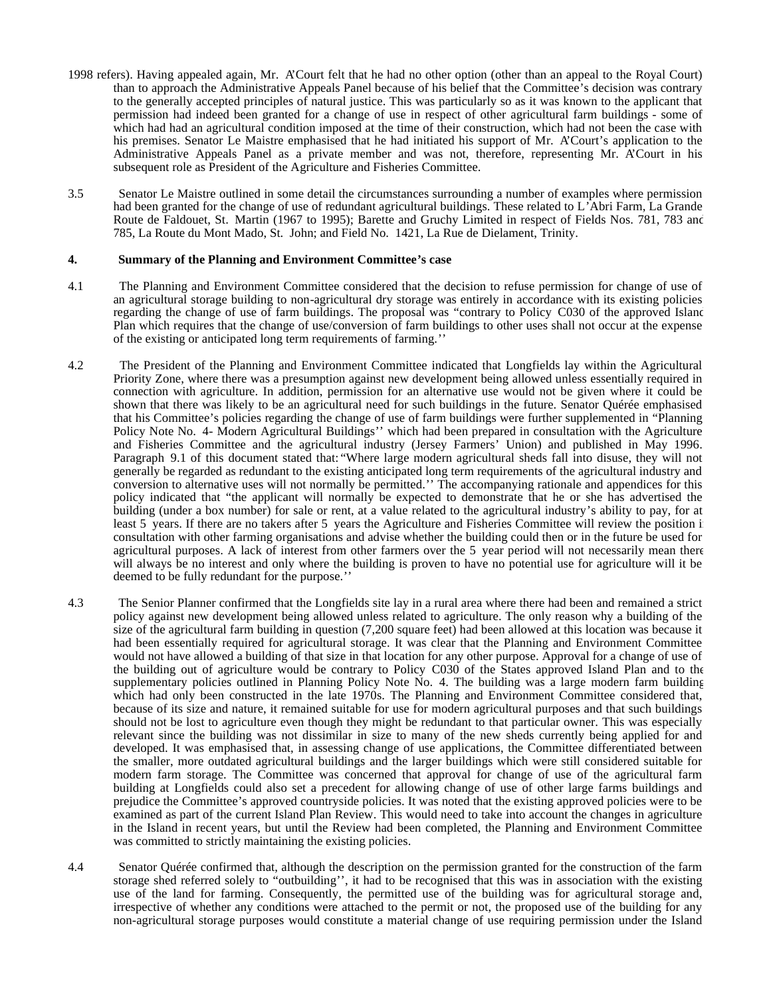- 1998 refers). Having appealed again, Mr. A'Court felt that he had no other option (other than an appeal to the Royal Court) than to approach the Administrative Appeals Panel because of his belief that the Committee's decision was contrary to the generally accepted principles of natural justice. This was particularly so as it was known to the applicant that permission had indeed been granted for a change of use in respect of other agricultural farm buildings - some of which had had an agricultural condition imposed at the time of their construction, which had not been the case with his premises. Senator Le Maistre emphasised that he had initiated his support of Mr. A'Court's application to the Administrative Appeals Panel as a private member and was not, therefore, representing Mr. A'Court in his subsequent role as President of the Agriculture and Fisheries Committee.
- 3.5 Senator Le Maistre outlined in some detail the circumstances surrounding a number of examples where permission had been granted for the change of use of redundant agricultural buildings. These related to L'Abri Farm, La Grande Route de Faldouet, St. Martin (1967 to 1995); Barette and Gruchy Limited in respect of Fields Nos. 781, 783 and 785, La Route du Mont Mado, St. John; and Field No. 1421, La Rue de Dielament, Trinity.

#### **4. Summary of the Planning and Environment Committee's case**

- 4.1 The Planning and Environment Committee considered that the decision to refuse permission for change of use of an agricultural storage building to non-agricultural dry storage was entirely in accordance with its existing policies regarding the change of use of farm buildings. The proposal was "contrary to Policy C030 of the approved Island Plan which requires that the change of use/conversion of farm buildings to other uses shall not occur at the expense of the existing or anticipated long term requirements of farming.''
- 4.2 The President of the Planning and Environment Committee indicated that Longfields lay within the Agricultural Priority Zone, where there was a presumption against new development being allowed unless essentially required in connection with agriculture. In addition, permission for an alternative use would not be given where it could be shown that there was likely to be an agricultural need for such buildings in the future. Senator Quérée emphasised that his Committee's policies regarding the change of use of farm buildings were further supplemented in "Planning Policy Note No. 4- Modern Agricultural Buildings'' which had been prepared in consultation with the Agriculture and Fisheries Committee and the agricultural industry (Jersey Farmers' Union) and published in May 1996. Paragraph 9.1 of this document stated that: "Where large modern agricultural sheds fall into disuse, they will not generally be regarded as redundant to the existing anticipated long term requirements of the agricultural industry and conversion to alternative uses will not normally be permitted.'' The accompanying rationale and appendices for this policy indicated that "the applicant will normally be expected to demonstrate that he or she has advertised the building (under a box number) for sale or rent, at a value related to the agricultural industry's ability to pay, for at least 5 years. If there are no takers after 5 years the Agriculture and Fisheries Committee will review the position in consultation with other farming organisations and advise whether the building could then or in the future be used for agricultural purposes. A lack of interest from other farmers over the 5 year period will not necessarily mean there will always be no interest and only where the building is proven to have no potential use for agriculture will it be deemed to be fully redundant for the purpose.''
- 4.3 The Senior Planner confirmed that the Longfields site lay in a rural area where there had been and remained a strict policy against new development being allowed unless related to agriculture. The only reason why a building of the size of the agricultural farm building in question (7,200 square feet) had been allowed at this location was because it had been essentially required for agricultural storage. It was clear that the Planning and Environment Committee would not have allowed a building of that size in that location for any other purpose. Approval for a change of use of the building out of agriculture would be contrary to Policy C030 of the States approved Island Plan and to the supplementary policies outlined in Planning Policy Note No. 4. The building was a large modern farm building which had only been constructed in the late 1970s. The Planning and Environment Committee considered that, because of its size and nature, it remained suitable for use for modern agricultural purposes and that such buildings should not be lost to agriculture even though they might be redundant to that particular owner. This was especially relevant since the building was not dissimilar in size to many of the new sheds currently being applied for and developed. It was emphasised that, in assessing change of use applications, the Committee differentiated between the smaller, more outdated agricultural buildings and the larger buildings which were still considered suitable for modern farm storage. The Committee was concerned that approval for change of use of the agricultural farm building at Longfields could also set a precedent for allowing change of use of other large farms buildings and prejudice the Committee's approved countryside policies. It was noted that the existing approved policies were to be examined as part of the current Island Plan Review. This would need to take into account the changes in agriculture in the Island in recent years, but until the Review had been completed, the Planning and Environment Committee was committed to strictly maintaining the existing policies.
- 4.4 Senator Quérée confirmed that, although the description on the permission granted for the construction of the farm storage shed referred solely to "outbuilding'', it had to be recognised that this was in association with the existing use of the land for farming. Consequently, the permitted use of the building was for agricultural storage and, irrespective of whether any conditions were attached to the permit or not, the proposed use of the building for any non-agricultural storage purposes would constitute a material change of use requiring permission under the Island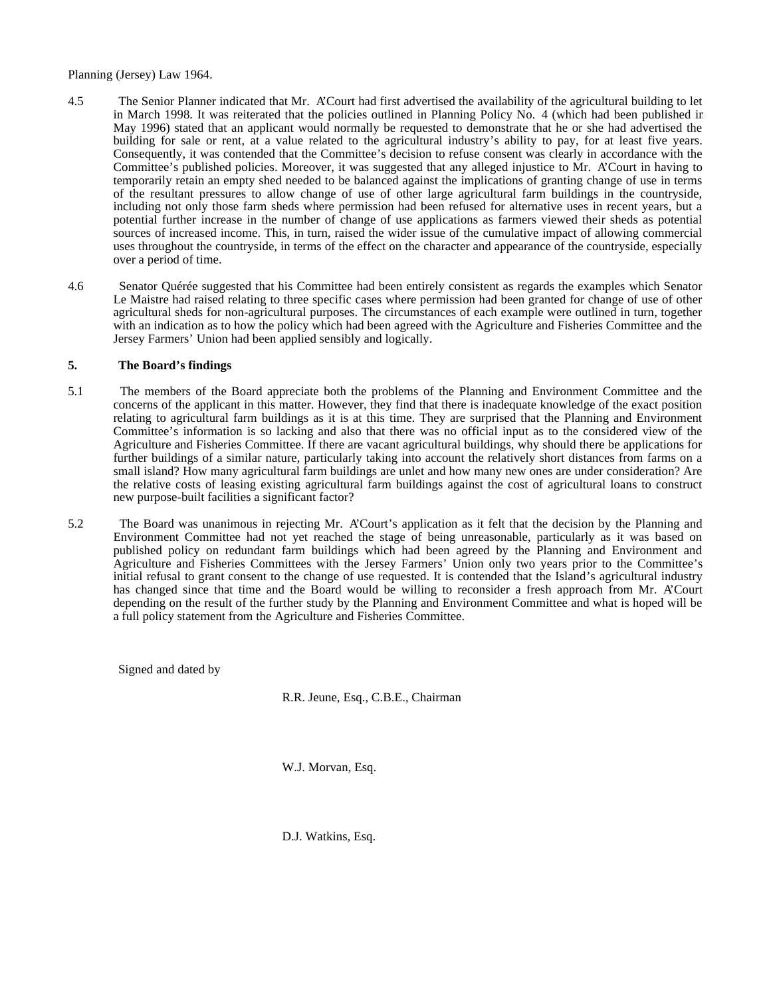#### Planning (Jersey) Law 1964.

- 4.5 The Senior Planner indicated that Mr. A'Court had first advertised the availability of the agricultural building to let in March 1998. It was reiterated that the policies outlined in Planning Policy No. 4 (which had been published in May 1996) stated that an applicant would normally be requested to demonstrate that he or she had advertised the building for sale or rent, at a value related to the agricultural industry's ability to pay, for at least five years. Consequently, it was contended that the Committee's decision to refuse consent was clearly in accordance with the Committee's published policies. Moreover, it was suggested that any alleged injustice to Mr. A'Court in having to temporarily retain an empty shed needed to be balanced against the implications of granting change of use in terms of the resultant pressures to allow change of use of other large agricultural farm buildings in the countryside, including not only those farm sheds where permission had been refused for alternative uses in recent years, but a potential further increase in the number of change of use applications as farmers viewed their sheds as potential sources of increased income. This, in turn, raised the wider issue of the cumulative impact of allowing commercial uses throughout the countryside, in terms of the effect on the character and appearance of the countryside, especially over a period of time.
- 4.6 Senator Quérée suggested that his Committee had been entirely consistent as regards the examples which Senator Le Maistre had raised relating to three specific cases where permission had been granted for change of use of other agricultural sheds for non-agricultural purposes. The circumstances of each example were outlined in turn, together with an indication as to how the policy which had been agreed with the Agriculture and Fisheries Committee and the Jersey Farmers' Union had been applied sensibly and logically.

#### **5. The Board's findings**

- 5.1 The members of the Board appreciate both the problems of the Planning and Environment Committee and the concerns of the applicant in this matter. However, they find that there is inadequate knowledge of the exact position relating to agricultural farm buildings as it is at this time. They are surprised that the Planning and Environment Committee's information is so lacking and also that there was no official input as to the considered view of the Agriculture and Fisheries Committee. If there are vacant agricultural buildings, why should there be applications for further buildings of a similar nature, particularly taking into account the relatively short distances from farms on a small island? How many agricultural farm buildings are unlet and how many new ones are under consideration? Are the relative costs of leasing existing agricultural farm buildings against the cost of agricultural loans to construct new purpose-built facilities a significant factor?
- 5.2 The Board was unanimous in rejecting Mr. A'Court's application as it felt that the decision by the Planning and Environment Committee had not yet reached the stage of being unreasonable, particularly as it was based on published policy on redundant farm buildings which had been agreed by the Planning and Environment and Agriculture and Fisheries Committees with the Jersey Farmers' Union only two years prior to the Committee's initial refusal to grant consent to the change of use requested. It is contended that the Island's agricultural industry has changed since that time and the Board would be willing to reconsider a fresh approach from Mr. A'Court depending on the result of the further study by the Planning and Environment Committee and what is hoped will be a full policy statement from the Agriculture and Fisheries Committee.

Signed and dated by

R.R. Jeune, Esq., C.B.E., Chairman

W.J. Morvan, Esq.

D.J. Watkins, Esq.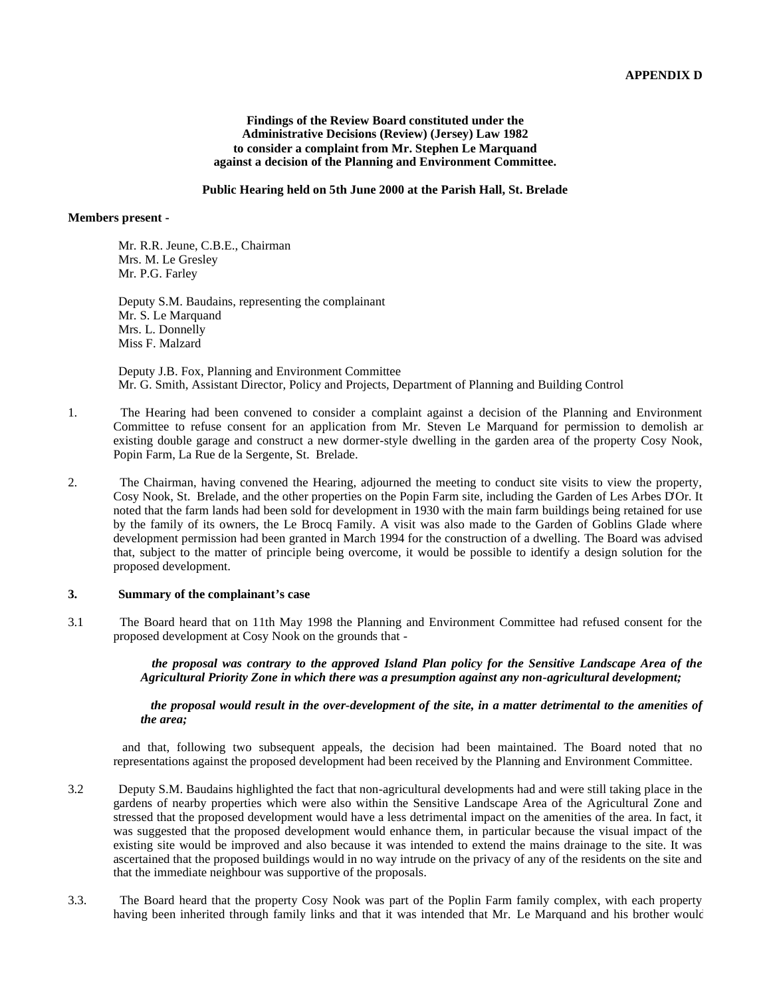#### **Findings of the Review Board constituted under the Administrative Decisions (Review) (Jersey) Law 1982 to consider a complaint from Mr. Stephen Le Marquand against a decision of the Planning and Environment Committee.**

#### **Public Hearing held on 5th June 2000 at the Parish Hall, St. Brelade**

#### **Members present -**

Mr. R.R. Jeune, C.B.E., Chairman Mrs. M. Le Gresley Mr. P.G. Farley

 Deputy S.M. Baudains, representing the complainant Mr. S. Le Marquand Mrs. L. Donnelly Miss F. Malzard

 Deputy J.B. Fox, Planning and Environment Committee Mr. G. Smith, Assistant Director, Policy and Projects, Department of Planning and Building Control

- 1. The Hearing had been convened to consider a complaint against a decision of the Planning and Environment Committee to refuse consent for an application from Mr. Steven Le Marquand for permission to demolish an existing double garage and construct a new dormer-style dwelling in the garden area of the property Cosy Nook, Popin Farm, La Rue de la Sergente, St. Brelade.
- 2. The Chairman, having convened the Hearing, adjourned the meeting to conduct site visits to view the property, Cosy Nook, St. Brelade, and the other properties on the Popin Farm site, including the Garden of Les Arbes D'Or. It noted that the farm lands had been sold for development in 1930 with the main farm buildings being retained for use by the family of its owners, the Le Brocq Family. A visit was also made to the Garden of Goblins Glade where development permission had been granted in March 1994 for the construction of a dwelling. The Board was advised that, subject to the matter of principle being overcome, it would be possible to identify a design solution for the proposed development.

#### **3. Summary of the complainant's case**

3.1 The Board heard that on 11th May 1998 the Planning and Environment Committee had refused consent for the proposed development at Cosy Nook on the grounds that -

> *the proposal was contrary to the approved Island Plan policy for the Sensitive Landscape Area of the Agricultural Priority Zone in which there was a presumption against any non-agricultural development;*

## *the proposal would result in the over-development of the site, in a matter detrimental to the amenities of the area;*

 and that, following two subsequent appeals, the decision had been maintained. The Board noted that no representations against the proposed development had been received by the Planning and Environment Committee.

- 3.2 Deputy S.M. Baudains highlighted the fact that non-agricultural developments had and were still taking place in the gardens of nearby properties which were also within the Sensitive Landscape Area of the Agricultural Zone and stressed that the proposed development would have a less detrimental impact on the amenities of the area. In fact, it was suggested that the proposed development would enhance them, in particular because the visual impact of the existing site would be improved and also because it was intended to extend the mains drainage to the site. It was ascertained that the proposed buildings would in no way intrude on the privacy of any of the residents on the site and that the immediate neighbour was supportive of the proposals.
- 3.3. The Board heard that the property Cosy Nook was part of the Poplin Farm family complex, with each property having been inherited through family links and that it was intended that Mr. Le Marquand and his brother would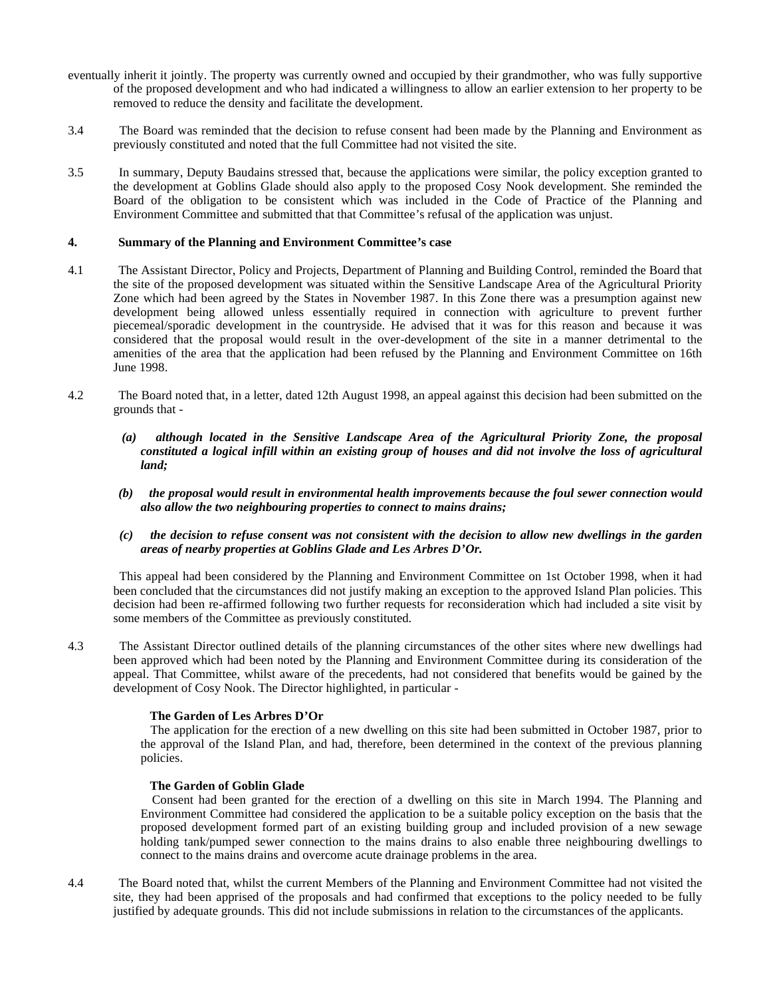- eventually inherit it jointly. The property was currently owned and occupied by their grandmother, who was fully supportive of the proposed development and who had indicated a willingness to allow an earlier extension to her property to be removed to reduce the density and facilitate the development.
- 3.4 The Board was reminded that the decision to refuse consent had been made by the Planning and Environment as previously constituted and noted that the full Committee had not visited the site.
- 3.5 In summary, Deputy Baudains stressed that, because the applications were similar, the policy exception granted to the development at Goblins Glade should also apply to the proposed Cosy Nook development. She reminded the Board of the obligation to be consistent which was included in the Code of Practice of the Planning and Environment Committee and submitted that that Committee's refusal of the application was unjust.

#### **4. Summary of the Planning and Environment Committee's case**

- 4.1 The Assistant Director, Policy and Projects, Department of Planning and Building Control, reminded the Board that the site of the proposed development was situated within the Sensitive Landscape Area of the Agricultural Priority Zone which had been agreed by the States in November 1987. In this Zone there was a presumption against new development being allowed unless essentially required in connection with agriculture to prevent further piecemeal/sporadic development in the countryside. He advised that it was for this reason and because it was considered that the proposal would result in the over-development of the site in a manner detrimental to the amenities of the area that the application had been refused by the Planning and Environment Committee on 16th June 1998.
- 4.2 The Board noted that, in a letter, dated 12th August 1998, an appeal against this decision had been submitted on the grounds that -
	- *(a) although located in the Sensitive Landscape Area of the Agricultural Priority Zone, the proposal constituted a logical infill within an existing group of houses and did not involve the loss of agricultural land;*
	- *(b) the proposal would result in environmental health improvements because the foul sewer connection would also allow the two neighbouring properties to connect to mains drains;*
	- *(c) the decision to refuse consent was not consistent with the decision to allow new dwellings in the garden areas of nearby properties at Goblins Glade and Les Arbres D'Or.*

 This appeal had been considered by the Planning and Environment Committee on 1st October 1998, when it had been concluded that the circumstances did not justify making an exception to the approved Island Plan policies. This decision had been re-affirmed following two further requests for reconsideration which had included a site visit by some members of the Committee as previously constituted.

4.3 The Assistant Director outlined details of the planning circumstances of the other sites where new dwellings had been approved which had been noted by the Planning and Environment Committee during its consideration of the appeal. That Committee, whilst aware of the precedents, had not considered that benefits would be gained by the development of Cosy Nook. The Director highlighted, in particular -

## **The Garden of Les Arbres D'Or**

The application for the erection of a new dwelling on this site had been submitted in October 1987, prior to the approval of the Island Plan, and had, therefore, been determined in the context of the previous planning policies.

#### **The Garden of Goblin Glade**

Consent had been granted for the erection of a dwelling on this site in March 1994. The Planning and Environment Committee had considered the application to be a suitable policy exception on the basis that the proposed development formed part of an existing building group and included provision of a new sewage holding tank/pumped sewer connection to the mains drains to also enable three neighbouring dwellings to connect to the mains drains and overcome acute drainage problems in the area.

4.4 The Board noted that, whilst the current Members of the Planning and Environment Committee had not visited the site, they had been apprised of the proposals and had confirmed that exceptions to the policy needed to be fully justified by adequate grounds. This did not include submissions in relation to the circumstances of the applicants.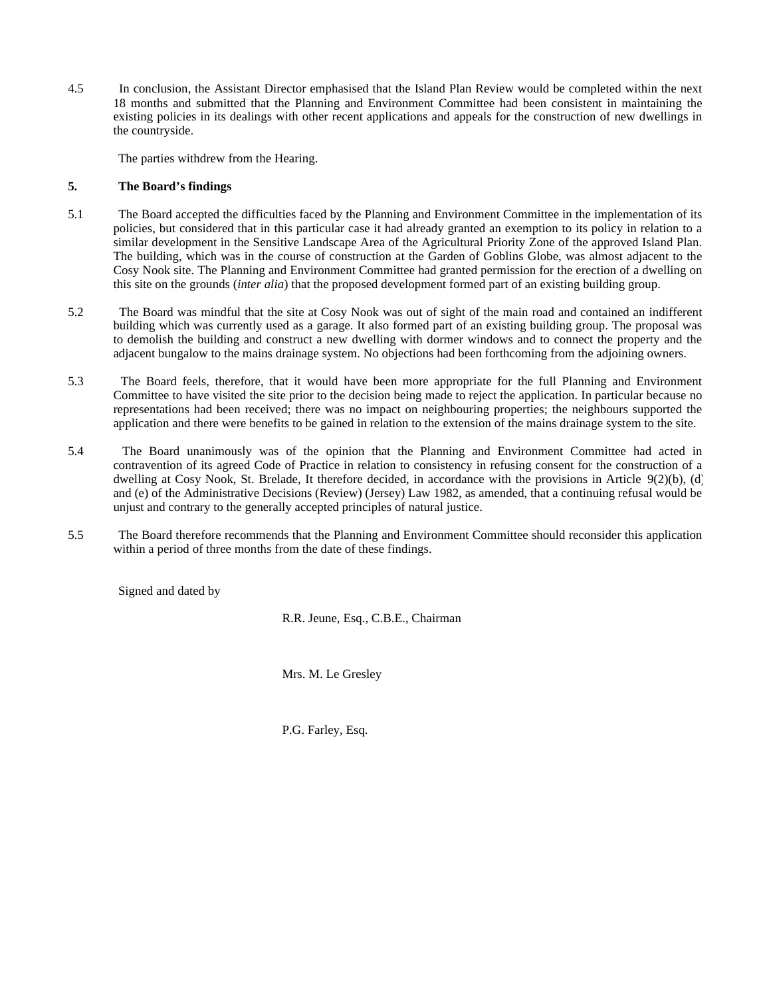4.5 In conclusion, the Assistant Director emphasised that the Island Plan Review would be completed within the next 18 months and submitted that the Planning and Environment Committee had been consistent in maintaining the existing policies in its dealings with other recent applications and appeals for the construction of new dwellings in the countryside.

The parties withdrew from the Hearing.

# **5. The Board's findings**

- 5.1The Board accepted the difficulties faced by the Planning and Environment Committee in the implementation of its policies, but considered that in this particular case it had already granted an exemption to its policy in relation to a similar development in the Sensitive Landscape Area of the Agricultural Priority Zone of the approved Island Plan. The building, which was in the course of construction at the Garden of Goblins Globe, was almost adjacent to the Cosy Nook site. The Planning and Environment Committee had granted permission for the erection of a dwelling on this site on the grounds (*inter alia*) that the proposed development formed part of an existing building group.
- 5.2 The Board was mindful that the site at Cosy Nook was out of sight of the main road and contained an indifferent building which was currently used as a garage. It also formed part of an existing building group. The proposal was to demolish the building and construct a new dwelling with dormer windows and to connect the property and the adjacent bungalow to the mains drainage system. No objections had been forthcoming from the adjoining owners.
- 5.3 The Board feels, therefore, that it would have been more appropriate for the full Planning and Environment Committee to have visited the site prior to the decision being made to reject the application. In particular because no representations had been received; there was no impact on neighbouring properties; the neighbours supported the application and there were benefits to be gained in relation to the extension of the mains drainage system to the site.
- 5.4 The Board unanimously was of the opinion that the Planning and Environment Committee had acted in contravention of its agreed Code of Practice in relation to consistency in refusing consent for the construction of a dwelling at Cosy Nook, St. Brelade, It therefore decided, in accordance with the provisions in Article 9(2)(b), (d) and (e) of the Administrative Decisions (Review) (Jersey) Law 1982, as amended, that a continuing refusal would be unjust and contrary to the generally accepted principles of natural justice.
- 5.5 The Board therefore recommends that the Planning and Environment Committee should reconsider this application within a period of three months from the date of these findings.

Signed and dated by

R.R. Jeune, Esq., C.B.E., Chairman

Mrs. M. Le Gresley

P.G. Farley, Esq.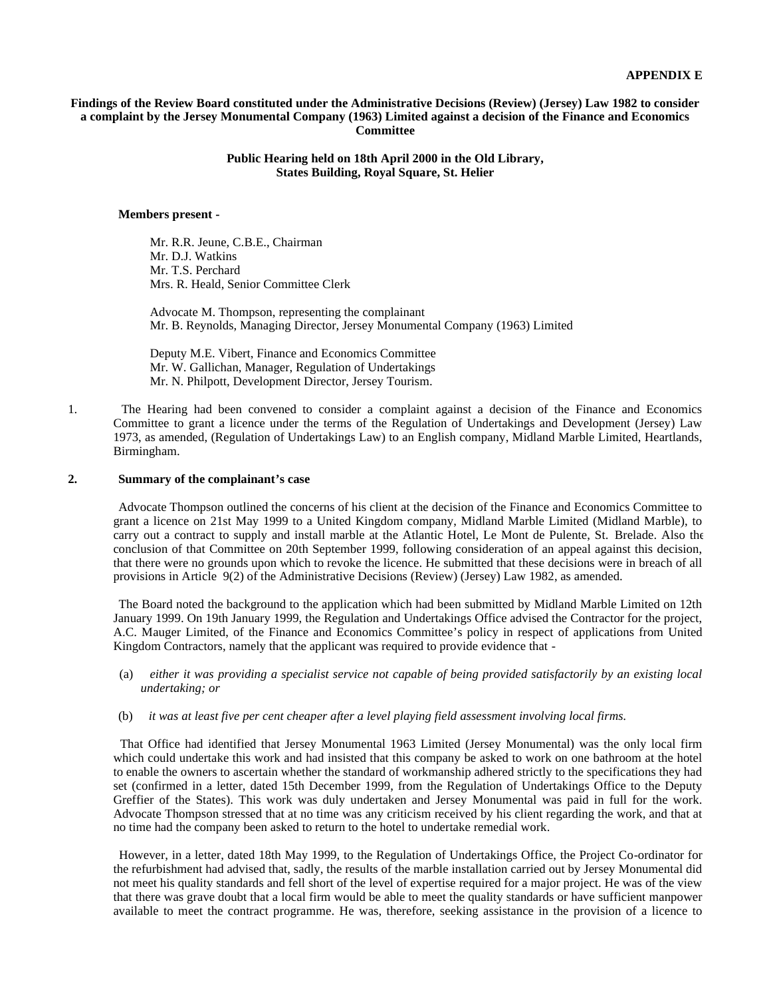#### **Findings of the Review Board constituted under the Administrative Decisions (Review) (Jersey) Law 1982 to consider a complaint by the Jersey Monumental Company (1963) Limited against a decision of the Finance and Economics Committee**

## **Public Hearing held on 18th April 2000 in the Old Library, States Building, Royal Square, St. Helier**

#### **Members present -**

Mr. R.R. Jeune, C.B.E., Chairman Mr. D.J. Watkins Mr. T.S. Perchard Mrs. R. Heald, Senior Committee Clerk

 Advocate M. Thompson, representing the complainant Mr. B. Reynolds, Managing Director, Jersey Monumental Company (1963) Limited

 Deputy M.E. Vibert, Finance and Economics Committee Mr. W. Gallichan, Manager, Regulation of Undertakings Mr. N. Philpott, Development Director, Jersey Tourism.

1. The Hearing had been convened to consider a complaint against a decision of the Finance and Economics Committee to grant a licence under the terms of the Regulation of Undertakings and Development (Jersey) Law 1973, as amended, (Regulation of Undertakings Law) to an English company, Midland Marble Limited, Heartlands, Birmingham.

#### **2. Summary of the complainant's case**

Advocate Thompson outlined the concerns of his client at the decision of the Finance and Economics Committee to grant a licence on 21st May 1999 to a United Kingdom company, Midland Marble Limited (Midland Marble), to carry out a contract to supply and install marble at the Atlantic Hotel, Le Mont de Pulente, St. Brelade. Also the conclusion of that Committee on 20th September 1999, following consideration of an appeal against this decision, that there were no grounds upon which to revoke the licence. He submitted that these decisions were in breach of all provisions in Article 9(2) of the Administrative Decisions (Review) (Jersey) Law 1982, as amended.

 The Board noted the background to the application which had been submitted by Midland Marble Limited on 12th January 1999. On 19th January 1999, the Regulation and Undertakings Office advised the Contractor for the project, A.C. Mauger Limited, of the Finance and Economics Committee's policy in respect of applications from United Kingdom Contractors, namely that the applicant was required to provide evidence that -

- (a) *either it was providing a specialist service not capable of being provided satisfactorily by an existing local undertaking; or*
- (b) *it was at least five per cent cheaper after a level playing field assessment involving local firms.*

 That Office had identified that Jersey Monumental 1963 Limited (Jersey Monumental) was the only local firm which could undertake this work and had insisted that this company be asked to work on one bathroom at the hotel to enable the owners to ascertain whether the standard of workmanship adhered strictly to the specifications they had set (confirmed in a letter, dated 15th December 1999, from the Regulation of Undertakings Office to the Deputy Greffier of the States). This work was duly undertaken and Jersey Monumental was paid in full for the work. Advocate Thompson stressed that at no time was any criticism received by his client regarding the work, and that at no time had the company been asked to return to the hotel to undertake remedial work.

 However, in a letter, dated 18th May 1999, to the Regulation of Undertakings Office, the Project Co-ordinator for the refurbishment had advised that, sadly, the results of the marble installation carried out by Jersey Monumental did not meet his quality standards and fell short of the level of expertise required for a major project. He was of the view that there was grave doubt that a local firm would be able to meet the quality standards or have sufficient manpower available to meet the contract programme. He was, therefore, seeking assistance in the provision of a licence to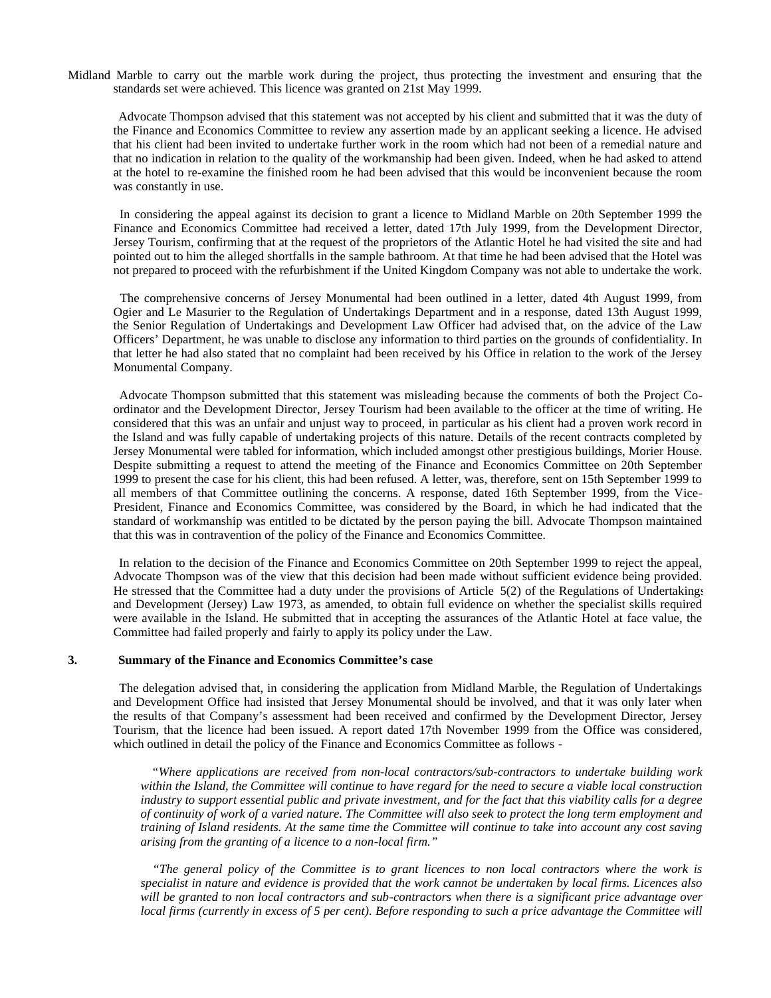Midland Marble to carry out the marble work during the project, thus protecting the investment and ensuring that the standards set were achieved. This licence was granted on 21st May 1999.

 Advocate Thompson advised that this statement was not accepted by his client and submitted that it was the duty of the Finance and Economics Committee to review any assertion made by an applicant seeking a licence. He advised that his client had been invited to undertake further work in the room which had not been of a remedial nature and that no indication in relation to the quality of the workmanship had been given. Indeed, when he had asked to attend at the hotel to re-examine the finished room he had been advised that this would be inconvenient because the room was constantly in use.

 In considering the appeal against its decision to grant a licence to Midland Marble on 20th September 1999 the Finance and Economics Committee had received a letter, dated 17th July 1999, from the Development Director, Jersey Tourism, confirming that at the request of the proprietors of the Atlantic Hotel he had visited the site and had pointed out to him the alleged shortfalls in the sample bathroom. At that time he had been advised that the Hotel was not prepared to proceed with the refurbishment if the United Kingdom Company was not able to undertake the work.

 The comprehensive concerns of Jersey Monumental had been outlined in a letter, dated 4th August 1999, from Ogier and Le Masurier to the Regulation of Undertakings Department and in a response, dated 13th August 1999, the Senior Regulation of Undertakings and Development Law Officer had advised that, on the advice of the Law Officers' Department, he was unable to disclose any information to third parties on the grounds of confidentiality. In that letter he had also stated that no complaint had been received by his Office in relation to the work of the Jersey Monumental Company.

 Advocate Thompson submitted that this statement was misleading because the comments of both the Project Coordinator and the Development Director, Jersey Tourism had been available to the officer at the time of writing. He considered that this was an unfair and unjust way to proceed, in particular as his client had a proven work record in the Island and was fully capable of undertaking projects of this nature. Details of the recent contracts completed by Jersey Monumental were tabled for information, which included amongst other prestigious buildings, Morier House. Despite submitting a request to attend the meeting of the Finance and Economics Committee on 20th September 1999 to present the case for his client, this had been refused. A letter, was, therefore, sent on 15th September 1999 to all members of that Committee outlining the concerns. A response, dated 16th September 1999, from the Vice-President, Finance and Economics Committee, was considered by the Board, in which he had indicated that the standard of workmanship was entitled to be dictated by the person paying the bill. Advocate Thompson maintained that this was in contravention of the policy of the Finance and Economics Committee.

 In relation to the decision of the Finance and Economics Committee on 20th September 1999 to reject the appeal, Advocate Thompson was of the view that this decision had been made without sufficient evidence being provided. He stressed that the Committee had a duty under the provisions of Article 5(2) of the Regulations of Undertakings and Development (Jersey) Law 1973, as amended, to obtain full evidence on whether the specialist skills required were available in the Island. He submitted that in accepting the assurances of the Atlantic Hotel at face value, the Committee had failed properly and fairly to apply its policy under the Law.

#### **3. Summary of the Finance and Economics Committee's case**

 The delegation advised that, in considering the application from Midland Marble, the Regulation of Undertakings and Development Office had insisted that Jersey Monumental should be involved, and that it was only later when the results of that Company's assessment had been received and confirmed by the Development Director, Jersey Tourism, that the licence had been issued. A report dated 17th November 1999 from the Office was considered, which outlined in detail the policy of the Finance and Economics Committee as follows -

 *"Where applications are received from non-local contractors/sub-contractors to undertake building work within the Island, the Committee will continue to have regard for the need to secure a viable local construction industry to support essential public and private investment, and for the fact that this viability calls for a degree of continuity of work of a varied nature. The Committee will also seek to protect the long term employment and training of Island residents. At the same time the Committee will continue to take into account any cost saving arising from the granting of a licence to a non-local firm."*

 *"The general policy of the Committee is to grant licences to non local contractors where the work is specialist in nature and evidence is provided that the work cannot be undertaken by local firms. Licences also will be granted to non local contractors and sub-contractors when there is a significant price advantage over local firms (currently in excess of 5 per cent). Before responding to such a price advantage the Committee will*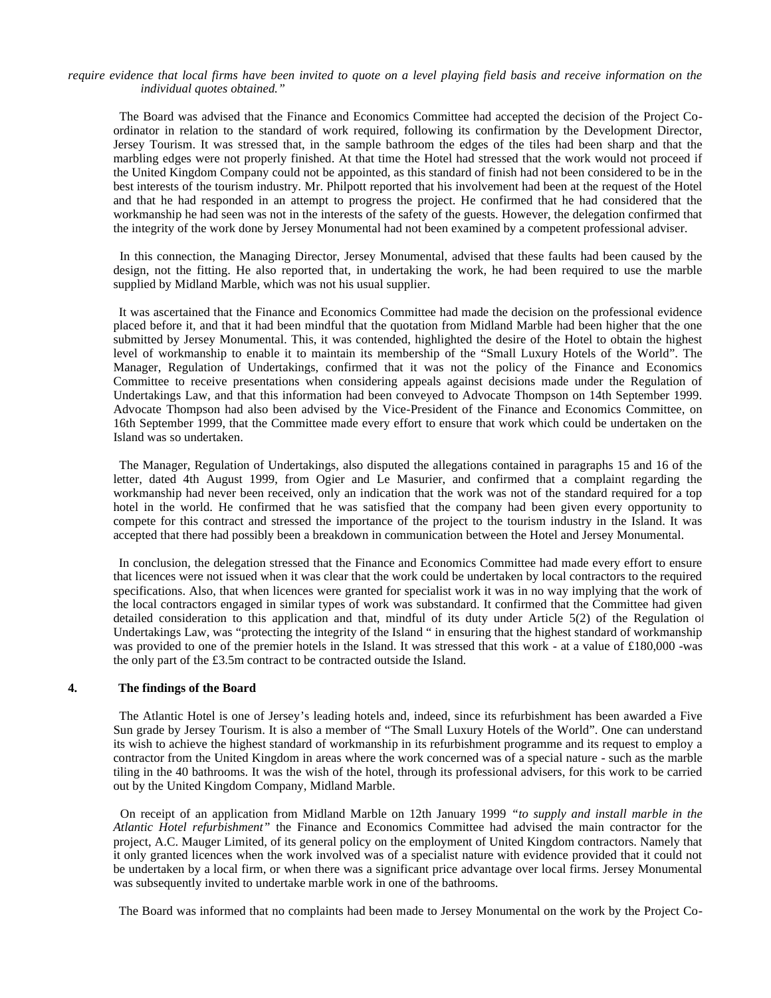#### *require evidence that local firms have been invited to quote on a level playing field basis and receive information on the individual quotes obtained."*

 The Board was advised that the Finance and Economics Committee had accepted the decision of the Project Coordinator in relation to the standard of work required, following its confirmation by the Development Director, Jersey Tourism. It was stressed that, in the sample bathroom the edges of the tiles had been sharp and that the marbling edges were not properly finished. At that time the Hotel had stressed that the work would not proceed if the United Kingdom Company could not be appointed, as this standard of finish had not been considered to be in the best interests of the tourism industry. Mr. Philpott reported that his involvement had been at the request of the Hotel and that he had responded in an attempt to progress the project. He confirmed that he had considered that the workmanship he had seen was not in the interests of the safety of the guests. However, the delegation confirmed that the integrity of the work done by Jersey Monumental had not been examined by a competent professional adviser.

 In this connection, the Managing Director, Jersey Monumental, advised that these faults had been caused by the design, not the fitting. He also reported that, in undertaking the work, he had been required to use the marble supplied by Midland Marble, which was not his usual supplier.

 It was ascertained that the Finance and Economics Committee had made the decision on the professional evidence placed before it, and that it had been mindful that the quotation from Midland Marble had been higher that the one submitted by Jersey Monumental. This, it was contended, highlighted the desire of the Hotel to obtain the highest level of workmanship to enable it to maintain its membership of the "Small Luxury Hotels of the World". The Manager, Regulation of Undertakings, confirmed that it was not the policy of the Finance and Economics Committee to receive presentations when considering appeals against decisions made under the Regulation of Undertakings Law, and that this information had been conveyed to Advocate Thompson on 14th September 1999. Advocate Thompson had also been advised by the Vice-President of the Finance and Economics Committee, on 16th September 1999, that the Committee made every effort to ensure that work which could be undertaken on the Island was so undertaken.

 The Manager, Regulation of Undertakings, also disputed the allegations contained in paragraphs 15 and 16 of the letter, dated 4th August 1999, from Ogier and Le Masurier, and confirmed that a complaint regarding the workmanship had never been received, only an indication that the work was not of the standard required for a top hotel in the world. He confirmed that he was satisfied that the company had been given every opportunity to compete for this contract and stressed the importance of the project to the tourism industry in the Island. It was accepted that there had possibly been a breakdown in communication between the Hotel and Jersey Monumental.

 In conclusion, the delegation stressed that the Finance and Economics Committee had made every effort to ensure that licences were not issued when it was clear that the work could be undertaken by local contractors to the required specifications. Also, that when licences were granted for specialist work it was in no way implying that the work of the local contractors engaged in similar types of work was substandard. It confirmed that the Committee had given detailed consideration to this application and that, mindful of its duty under Article 5(2) of the Regulation of Undertakings Law, was "protecting the integrity of the Island " in ensuring that the highest standard of workmanship was provided to one of the premier hotels in the Island. It was stressed that this work - at a value of £180,000 -was the only part of the £3.5m contract to be contracted outside the Island.

#### **4. The findings of the Board**

 The Atlantic Hotel is one of Jersey's leading hotels and, indeed, since its refurbishment has been awarded a Five Sun grade by Jersey Tourism. It is also a member of "The Small Luxury Hotels of the World". One can understand its wish to achieve the highest standard of workmanship in its refurbishment programme and its request to employ a contractor from the United Kingdom in areas where the work concerned was of a special nature - such as the marble tiling in the 40 bathrooms. It was the wish of the hotel, through its professional advisers, for this work to be carried out by the United Kingdom Company, Midland Marble.

 On receipt of an application from Midland Marble on 12th January 1999 *"to supply and install marble in the Atlantic Hotel refurbishment"* the Finance and Economics Committee had advised the main contractor for the project, A.C. Mauger Limited, of its general policy on the employment of United Kingdom contractors. Namely that it only granted licences when the work involved was of a specialist nature with evidence provided that it could not be undertaken by a local firm, or when there was a significant price advantage over local firms. Jersey Monumental was subsequently invited to undertake marble work in one of the bathrooms.

The Board was informed that no complaints had been made to Jersey Monumental on the work by the Project Co-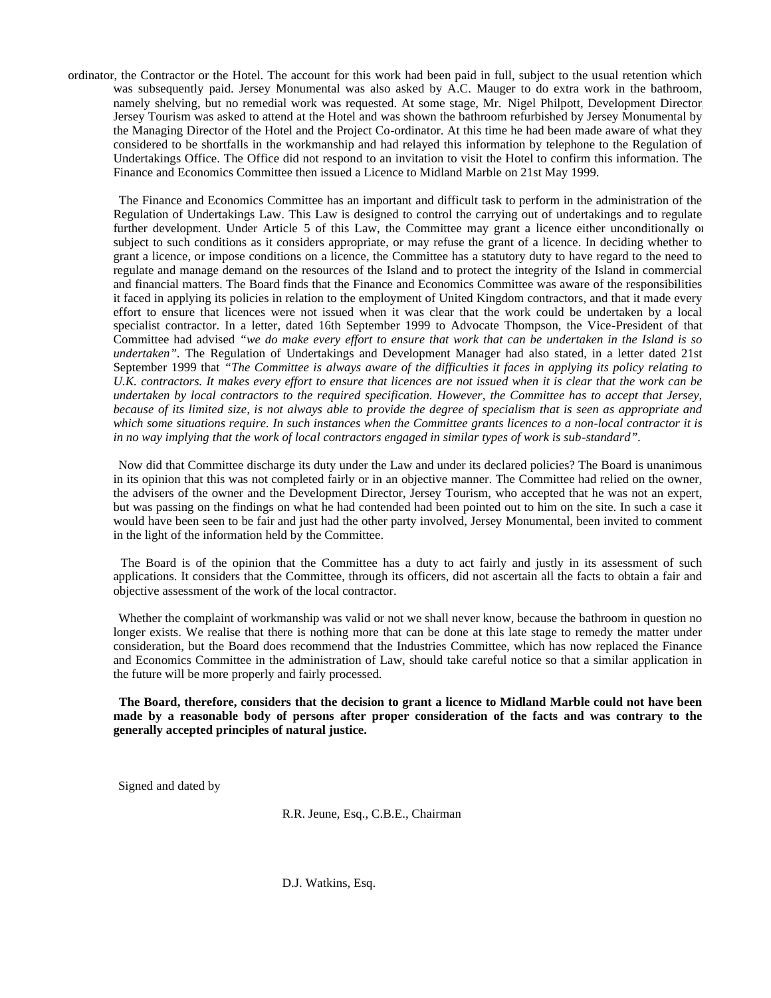ordinator, the Contractor or the Hotel. The account for this work had been paid in full, subject to the usual retention which was subsequently paid. Jersey Monumental was also asked by A.C. Mauger to do extra work in the bathroom, namely shelving, but no remedial work was requested. At some stage, Mr. Nigel Philpott, Development Director, Jersey Tourism was asked to attend at the Hotel and was shown the bathroom refurbished by Jersey Monumental by the Managing Director of the Hotel and the Project Co-ordinator. At this time he had been made aware of what they considered to be shortfalls in the workmanship and had relayed this information by telephone to the Regulation of Undertakings Office. The Office did not respond to an invitation to visit the Hotel to confirm this information. The Finance and Economics Committee then issued a Licence to Midland Marble on 21st May 1999.

 The Finance and Economics Committee has an important and difficult task to perform in the administration of the Regulation of Undertakings Law. This Law is designed to control the carrying out of undertakings and to regulate further development. Under Article 5 of this Law, the Committee may grant a licence either unconditionally or subject to such conditions as it considers appropriate, or may refuse the grant of a licence. In deciding whether to grant a licence, or impose conditions on a licence, the Committee has a statutory duty to have regard to the need to regulate and manage demand on the resources of the Island and to protect the integrity of the Island in commercial and financial matters. The Board finds that the Finance and Economics Committee was aware of the responsibilities it faced in applying its policies in relation to the employment of United Kingdom contractors, and that it made every effort to ensure that licences were not issued when it was clear that the work could be undertaken by a local specialist contractor. In a letter, dated 16th September 1999 to Advocate Thompson, the Vice-President of that Committee had advised *"we do make every effort to ensure that work that can be undertaken in the Island is so undertaken".* The Regulation of Undertakings and Development Manager had also stated, in a letter dated 21st September 1999 that *"The Committee is always aware of the difficulties it faces in applying its policy relating to U.K. contractors. It makes every effort to ensure that licences are not issued when it is clear that the work can be undertaken by local contractors to the required specification. However, the Committee has to accept that Jersey, because of its limited size, is not always able to provide the degree of specialism that is seen as appropriate and which some situations require. In such instances when the Committee grants licences to a non-local contractor it is in no way implying that the work of local contractors engaged in similar types of work is sub-standard".*

 Now did that Committee discharge its duty under the Law and under its declared policies? The Board is unanimous in its opinion that this was not completed fairly or in an objective manner. The Committee had relied on the owner, the advisers of the owner and the Development Director, Jersey Tourism, who accepted that he was not an expert, but was passing on the findings on what he had contended had been pointed out to him on the site. In such a case it would have been seen to be fair and just had the other party involved, Jersey Monumental, been invited to comment in the light of the information held by the Committee.

 The Board is of the opinion that the Committee has a duty to act fairly and justly in its assessment of such applications. It considers that the Committee, through its officers, did not ascertain all the facts to obtain a fair and objective assessment of the work of the local contractor.

Whether the complaint of workmanship was valid or not we shall never know, because the bathroom in question no longer exists. We realise that there is nothing more that can be done at this late stage to remedy the matter under consideration, but the Board does recommend that the Industries Committee, which has now replaced the Finance and Economics Committee in the administration of Law, should take careful notice so that a similar application in the future will be more properly and fairly processed.

 **The Board, therefore, considers that the decision to grant a licence to Midland Marble could not have been made by a reasonable body of persons after proper consideration of the facts and was contrary to the generally accepted principles of natural justice.**

Signed and dated by

R.R. Jeune, Esq., C.B.E., Chairman

D.J. Watkins, Esq.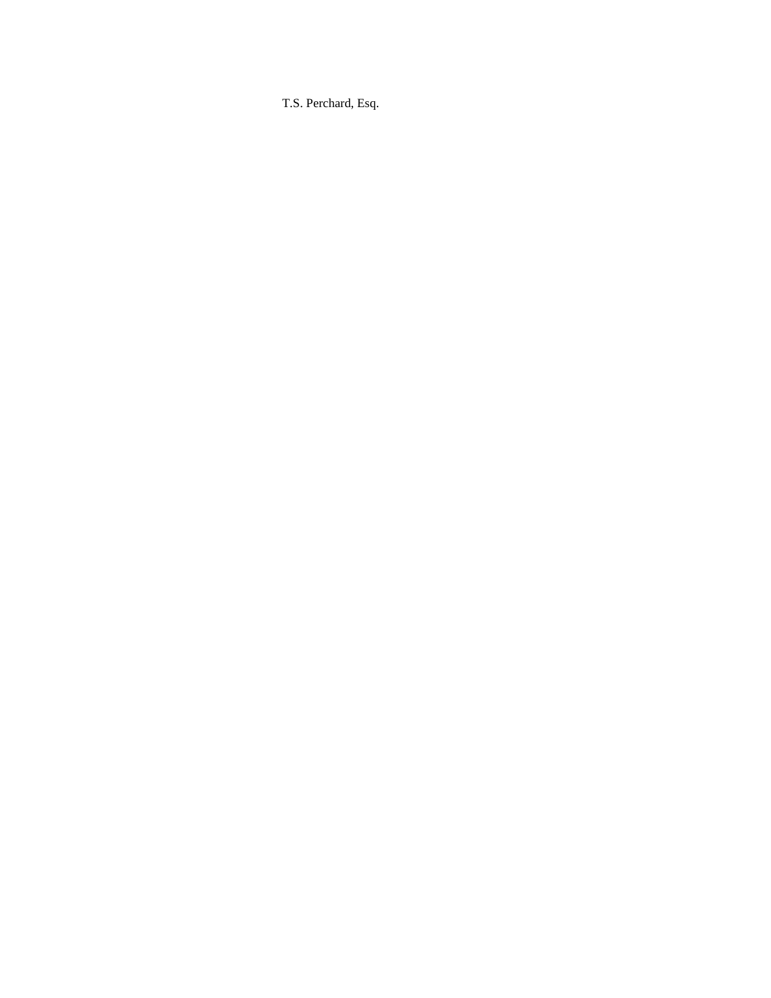T.S. Perchard, Esq.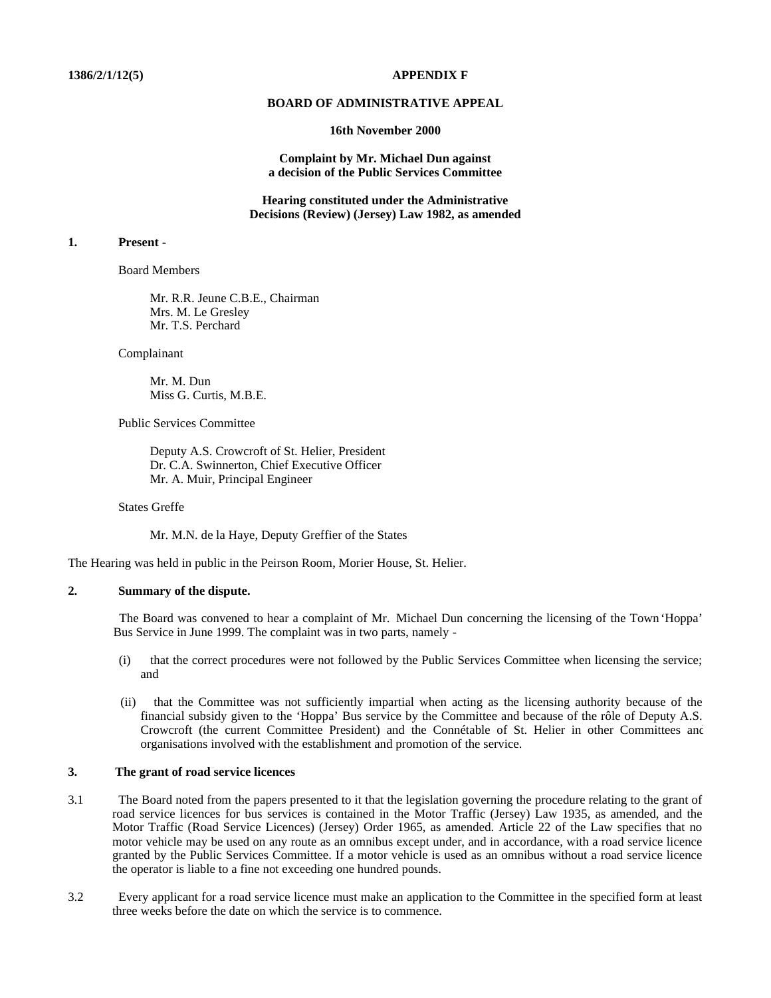#### **BOARD OF ADMINISTRATIVE APPEAL**

#### **16th November 2000**

#### **Complaint by Mr. Michael Dun against a decision of the Public Services Committee**

**Hearing constituted under the Administrative Decisions (Review) (Jersey) Law 1982, as amended**

# **1. Present -**

Board Members

 Mr. R.R. Jeune C.B.E., Chairman Mrs. M. Le Gresley Mr. T.S. Perchard

Complainant

 Mr. M. Dun Miss G. Curtis, M.B.E.

Public Services Committee

 Deputy A.S. Crowcroft of St. Helier, President Dr. C.A. Swinnerton, Chief Executive Officer Mr. A. Muir, Principal Engineer

States Greffe

Mr. M.N. de la Haye, Deputy Greffier of the States

The Hearing was held in public in the Peirson Room, Morier House, St. Helier.

# **2. Summary of the dispute.**

 The Board was convened to hear a complaint of Mr. Michael Dun concerning the licensing of the Town 'Hoppa' Bus Service in June 1999. The complaint was in two parts, namely -

- (i) that the correct procedures were not followed by the Public Services Committee when licensing the service; and
- (ii) that the Committee was not sufficiently impartial when acting as the licensing authority because of the financial subsidy given to the 'Hoppa' Bus service by the Committee and because of the rôle of Deputy A.S. Crowcroft (the current Committee President) and the Connétable of St. Helier in other Committees and organisations involved with the establishment and promotion of the service.

#### **3. The grant of road service licences**

- 3.1 The Board noted from the papers presented to it that the legislation governing the procedure relating to the grant of road service licences for bus services is contained in the Motor Traffic (Jersey) Law 1935, as amended, and the Motor Traffic (Road Service Licences) (Jersey) Order 1965, as amended. Article 22 of the Law specifies that no motor vehicle may be used on any route as an omnibus except under, and in accordance, with a road service licence granted by the Public Services Committee. If a motor vehicle is used as an omnibus without a road service licence the operator is liable to a fine not exceeding one hundred pounds.
- 3.2 Every applicant for a road service licence must make an application to the Committee in the specified form at least three weeks before the date on which the service is to commence.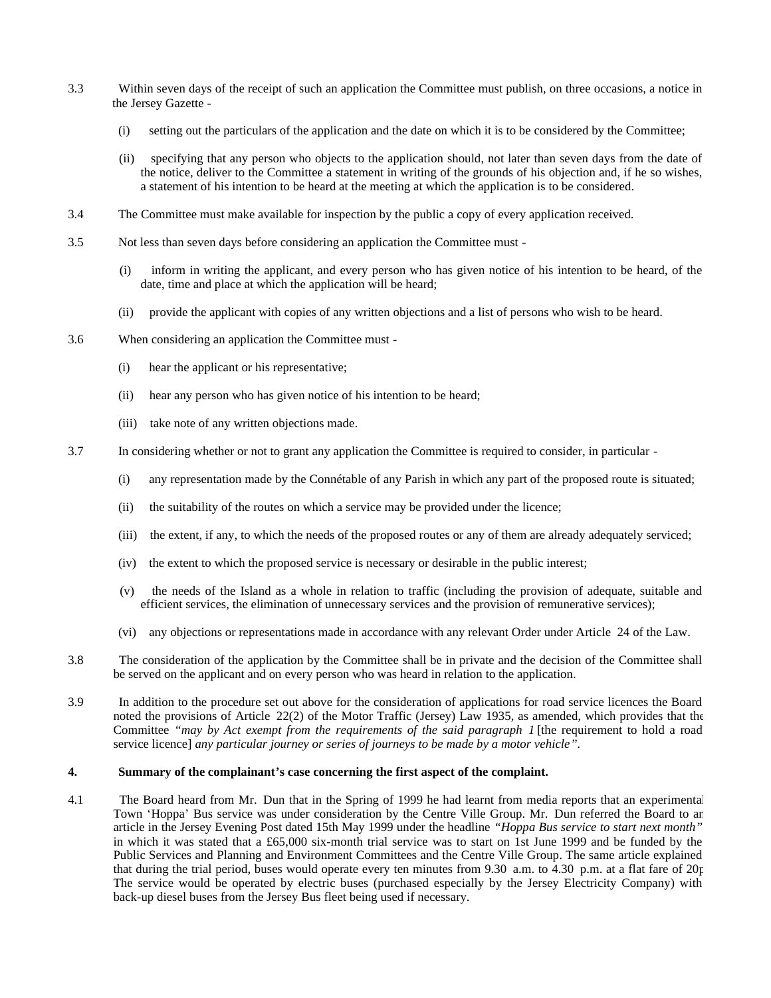- 3.3 Within seven days of the receipt of such an application the Committee must publish, on three occasions, a notice in the Jersey Gazette -
	- (i) setting out the particulars of the application and the date on which it is to be considered by the Committee;
	- (ii) specifying that any person who objects to the application should, not later than seven days from the date of the notice, deliver to the Committee a statement in writing of the grounds of his objection and, if he so wishes, a statement of his intention to be heard at the meeting at which the application is to be considered.
- 3.4 The Committee must make available for inspection by the public a copy of every application received.
- 3.5 Not less than seven days before considering an application the Committee must
	- (i) inform in writing the applicant, and every person who has given notice of his intention to be heard, of the date, time and place at which the application will be heard;
	- (ii) provide the applicant with copies of any written objections and a list of persons who wish to be heard.
- 3.6 When considering an application the Committee must
	- (i) hear the applicant or his representative;
	- (ii) hear any person who has given notice of his intention to be heard;
	- (iii) take note of any written objections made.
- 3.7 In considering whether or not to grant any application the Committee is required to consider, in particular
	- (i) any representation made by the Connétable of any Parish in which any part of the proposed route is situated;
	- (ii) the suitability of the routes on which a service may be provided under the licence;
	- (iii) the extent, if any, to which the needs of the proposed routes or any of them are already adequately serviced;
	- (iv) the extent to which the proposed service is necessary or desirable in the public interest;
	- (v) the needs of the Island as a whole in relation to traffic (including the provision of adequate, suitable and efficient services, the elimination of unnecessary services and the provision of remunerative services);
	- (vi) any objections or representations made in accordance with any relevant Order under Article 24 of the Law.
- 3.8 The consideration of the application by the Committee shall be in private and the decision of the Committee shall be served on the applicant and on every person who was heard in relation to the application.
- 3.9 In addition to the procedure set out above for the consideration of applications for road service licences the Board noted the provisions of Article 22(2) of the Motor Traffic (Jersey) Law 1935, as amended, which provides that the Committee *"may by Act exempt from the requirements of the said paragraph 1* [the requirement to hold a road service licence] *any particular journey or series of journeys to be made by a motor vehicle".*

#### **4. Summary of the complainant's case concerning the first aspect of the complaint.**

4.1 The Board heard from Mr. Dun that in the Spring of 1999 he had learnt from media reports that an experimental Town 'Hoppa' Bus service was under consideration by the Centre Ville Group. Mr. Dun referred the Board to an article in the Jersey Evening Post dated 15th May 1999 under the headline *"Hoppa Bus service to start next month"* in which it was stated that a £65,000 six-month trial service was to start on 1st June 1999 and be funded by the Public Services and Planning and Environment Committees and the Centre Ville Group. The same article explained that during the trial period, buses would operate every ten minutes from 9.30 a.m. to  $\overline{4.30}$  p.m. at a flat fare of  $20$ p The service would be operated by electric buses (purchased especially by the Jersey Electricity Company) with back-up diesel buses from the Jersey Bus fleet being used if necessary.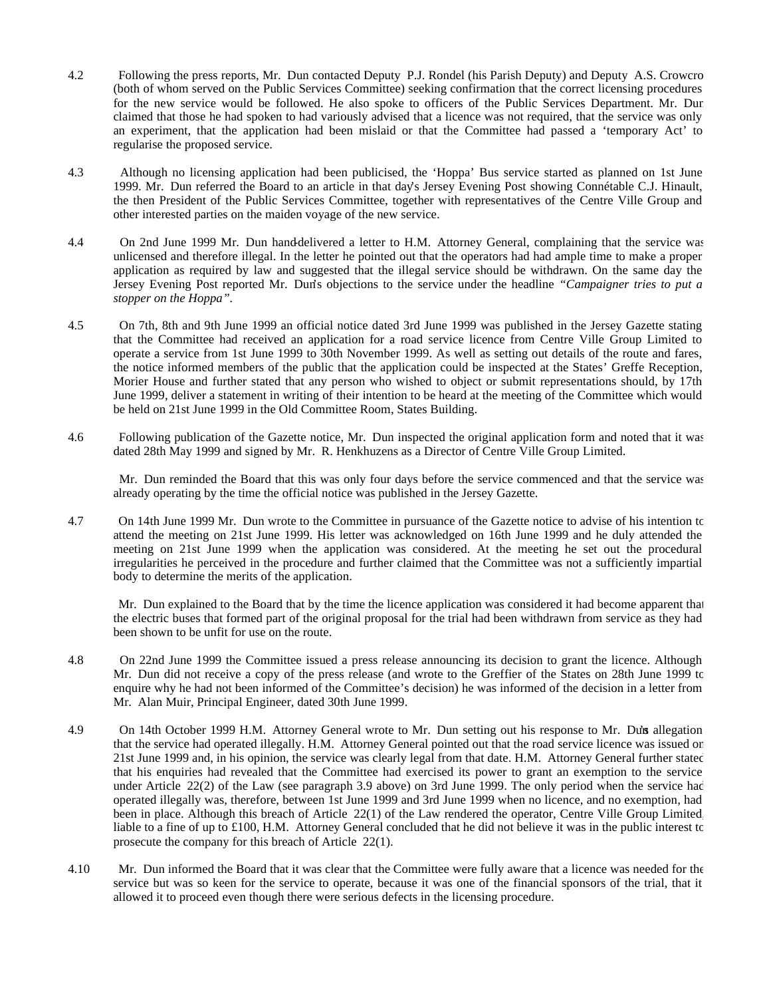- 4.2 Following the press reports, Mr. Dun contacted Deputy P.J. Rondel (his Parish Deputy) and Deputy A.S. Crowcro (both of whom served on the Public Services Committee) seeking confirmation that the correct licensing procedures for the new service would be followed. He also spoke to officers of the Public Services Department. Mr. Dun claimed that those he had spoken to had variously advised that a licence was not required, that the service was only an experiment, that the application had been mislaid or that the Committee had passed a 'temporary Act' to regularise the proposed service.
- 4.3 Although no licensing application had been publicised, the 'Hoppa' Bus service started as planned on 1st June 1999. Mr. Dun referred the Board to an article in that day's Jersey Evening Post showing Connétable C.J. Hinault, the then President of the Public Services Committee, together with representatives of the Centre Ville Group and other interested parties on the maiden voyage of the new service.
- 4.4 On 2nd June 1999 Mr. Dun hand-delivered a letter to H.M. Attorney General, complaining that the service was unlicensed and therefore illegal. In the letter he pointed out that the operators had had ample time to make a proper application as required by law and suggested that the illegal service should be withdrawn. On the same day the Jersey Evening Post reported Mr. Dun's objections to the service under the headline *"Campaigner tries to put a stopper on the Hoppa".*
- 4.5 On 7th, 8th and 9th June 1999 an official notice dated 3rd June 1999 was published in the Jersey Gazette stating that the Committee had received an application for a road service licence from Centre Ville Group Limited to operate a service from 1st June 1999 to 30th November 1999. As well as setting out details of the route and fares, the notice informed members of the public that the application could be inspected at the States' Greffe Reception, Morier House and further stated that any person who wished to object or submit representations should, by 17th June 1999, deliver a statement in writing of their intention to be heard at the meeting of the Committee which would be held on 21st June 1999 in the Old Committee Room, States Building.
- 4.6 Following publication of the Gazette notice, Mr. Dun inspected the original application form and noted that it was dated 28th May 1999 and signed by Mr. R. Henkhuzens as a Director of Centre Ville Group Limited.

 Mr. Dun reminded the Board that this was only four days before the service commenced and that the service was already operating by the time the official notice was published in the Jersey Gazette.

4.7 On 14th June 1999 Mr. Dun wrote to the Committee in pursuance of the Gazette notice to advise of his intention to attend the meeting on 21st June 1999. His letter was acknowledged on 16th June 1999 and he duly attended the meeting on 21st June 1999 when the application was considered. At the meeting he set out the procedural irregularities he perceived in the procedure and further claimed that the Committee was not a sufficiently impartial body to determine the merits of the application.

 Mr. Dun explained to the Board that by the time the licence application was considered it had become apparent that the electric buses that formed part of the original proposal for the trial had been withdrawn from service as they had been shown to be unfit for use on the route.

- 4.8 On 22nd June 1999 the Committee issued a press release announcing its decision to grant the licence. Although Mr. Dun did not receive a copy of the press release (and wrote to the Greffier of the States on 28th June 1999 to enquire why he had not been informed of the Committee's decision) he was informed of the decision in a letter from Mr. Alan Muir, Principal Engineer, dated 30th June 1999.
- 4.9 On 14th October 1999 H.M. Attorney General wrote to Mr. Dun setting out his response to Mr. Dun's allegation that the service had operated illegally. H.M. Attorney General pointed out that the road service licence was issued on 21st June 1999 and, in his opinion, the service was clearly legal from that date. H.M. Attorney General further stated that his enquiries had revealed that the Committee had exercised its power to grant an exemption to the service under Article 22(2) of the Law (see paragraph 3.9 above) on 3rd June 1999. The only period when the service had operated illegally was, therefore, between 1st June 1999 and 3rd June 1999 when no licence, and no exemption, had been in place. Although this breach of Article 22(1) of the Law rendered the operator, Centre Ville Group Limited, liable to a fine of up to £100, H.M. Attorney General concluded that he did not believe it was in the public interest to prosecute the company for this breach of Article 22(1).
- 4.10 Mr. Dun informed the Board that it was clear that the Committee were fully aware that a licence was needed for the service but was so keen for the service to operate, because it was one of the financial sponsors of the trial, that it allowed it to proceed even though there were serious defects in the licensing procedure.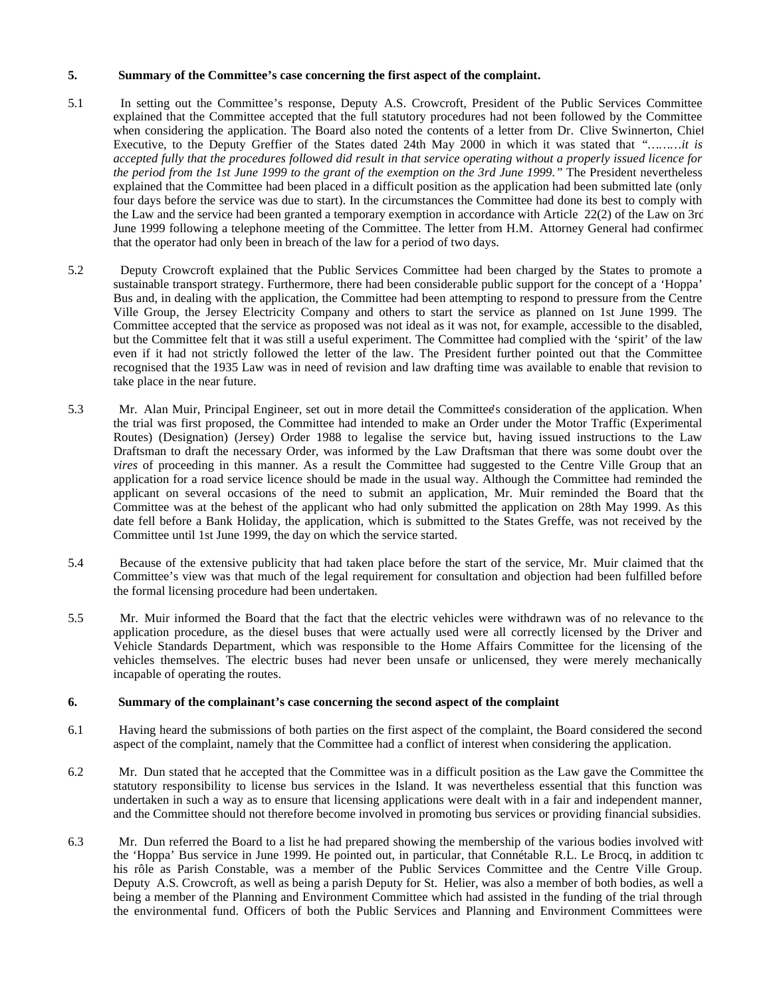#### **5. Summary of the Committee's case concerning the first aspect of the complaint.**

- 5.1 In setting out the Committee's response, Deputy A.S. Crowcroft, President of the Public Services Committee, explained that the Committee accepted that the full statutory procedures had not been followed by the Committee when considering the application. The Board also noted the contents of a letter from Dr. Clive Swinnerton, Chief Executive, to the Deputy Greffier of the States dated 24th May 2000 in which it was stated that *"………it is accepted fully that the procedures followed did result in that service operating without a properly issued licence for the period from the 1st June 1999 to the grant of the exemption on the 3rd June 1999."* The President nevertheless explained that the Committee had been placed in a difficult position as the application had been submitted late (only four days before the service was due to start). In the circumstances the Committee had done its best to comply with the Law and the service had been granted a temporary exemption in accordance with Article 22(2) of the Law on 3rd June 1999 following a telephone meeting of the Committee. The letter from H.M. Attorney General had confirmed that the operator had only been in breach of the law for a period of two days.
- 5.2 Deputy Crowcroft explained that the Public Services Committee had been charged by the States to promote a sustainable transport strategy. Furthermore, there had been considerable public support for the concept of a 'Hoppa' Bus and, in dealing with the application, the Committee had been attempting to respond to pressure from the Centre Ville Group, the Jersey Electricity Company and others to start the service as planned on 1st June 1999. The Committee accepted that the service as proposed was not ideal as it was not, for example, accessible to the disabled, but the Committee felt that it was still a useful experiment. The Committee had complied with the 'spirit' of the law even if it had not strictly followed the letter of the law. The President further pointed out that the Committee recognised that the 1935 Law was in need of revision and law drafting time was available to enable that revision to take place in the near future.
- 5.3 Mr. Alan Muir, Principal Engineer, set out in more detail the Committee's consideration of the application. When the trial was first proposed, the Committee had intended to make an Order under the Motor Traffic (Experimental Routes) (Designation) (Jersey) Order 1988 to legalise the service but, having issued instructions to the Law Draftsman to draft the necessary Order, was informed by the Law Draftsman that there was some doubt over the *vires* of proceeding in this manner. As a result the Committee had suggested to the Centre Ville Group that an application for a road service licence should be made in the usual way. Although the Committee had reminded the applicant on several occasions of the need to submit an application, Mr. Muir reminded the Board that the Committee was at the behest of the applicant who had only submitted the application on 28th May 1999. As this date fell before a Bank Holiday, the application, which is submitted to the States Greffe, was not received by the Committee until 1st June 1999, the day on which the service started.
- 5.4 Because of the extensive publicity that had taken place before the start of the service, Mr. Muir claimed that the Committee's view was that much of the legal requirement for consultation and objection had been fulfilled before the formal licensing procedure had been undertaken.
- 5.5 Mr. Muir informed the Board that the fact that the electric vehicles were withdrawn was of no relevance to the application procedure, as the diesel buses that were actually used were all correctly licensed by the Driver and Vehicle Standards Department, which was responsible to the Home Affairs Committee for the licensing of the vehicles themselves. The electric buses had never been unsafe or unlicensed, they were merely mechanically incapable of operating the routes.

#### **6. Summary of the complainant's case concerning the second aspect of the complaint**

- 6.1 Having heard the submissions of both parties on the first aspect of the complaint, the Board considered the second aspect of the complaint, namely that the Committee had a conflict of interest when considering the application.
- 6.2 Mr. Dun stated that he accepted that the Committee was in a difficult position as the Law gave the Committee the statutory responsibility to license bus services in the Island. It was nevertheless essential that this function was undertaken in such a way as to ensure that licensing applications were dealt with in a fair and independent manner, and the Committee should not therefore become involved in promoting bus services or providing financial subsidies.
- 6.3 Mr. Dun referred the Board to a list he had prepared showing the membership of the various bodies involved with the 'Hoppa' Bus service in June 1999. He pointed out, in particular, that Connétable R.L. Le Brocq, in addition to his rôle as Parish Constable, was a member of the Public Services Committee and the Centre Ville Group. Deputy A.S. Crowcroft, as well as being a parish Deputy for St. Helier, was also a member of both bodies, as well as being a member of the Planning and Environment Committee which had assisted in the funding of the trial through the environmental fund. Officers of both the Public Services and Planning and Environment Committees were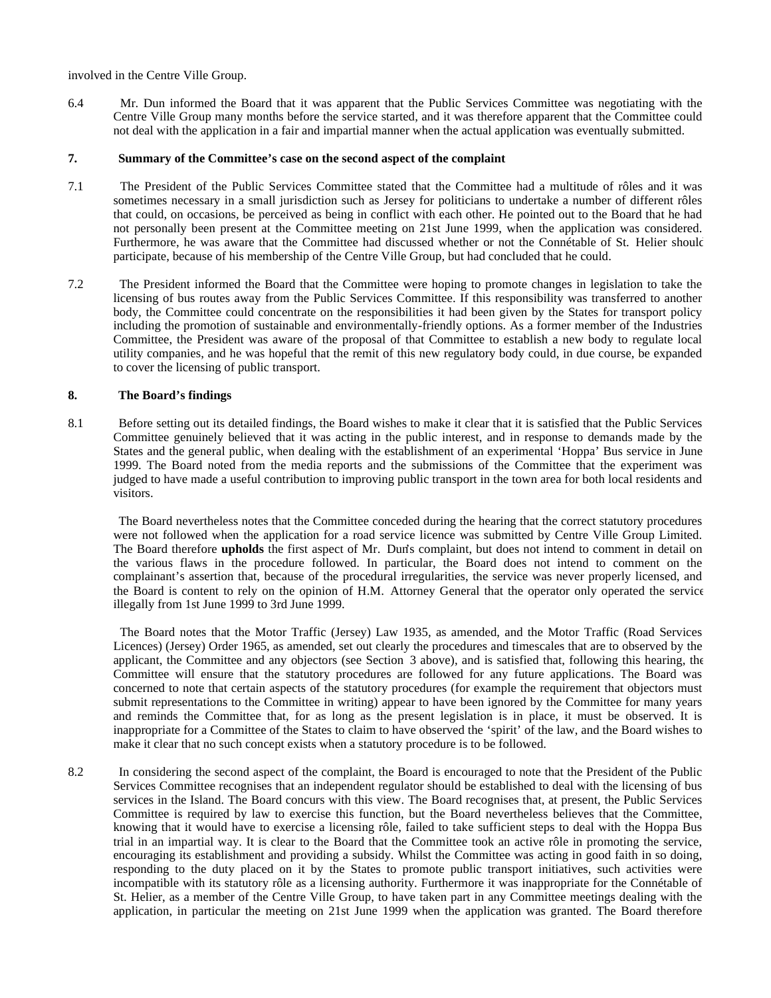involved in the Centre Ville Group.

6.4 Mr. Dun informed the Board that it was apparent that the Public Services Committee was negotiating with the Centre Ville Group many months before the service started, and it was therefore apparent that the Committee could not deal with the application in a fair and impartial manner when the actual application was eventually submitted.

#### **7. Summary of the Committee's case on the second aspect of the complaint**

- 7.1 The President of the Public Services Committee stated that the Committee had a multitude of rôles and it was sometimes necessary in a small jurisdiction such as Jersey for politicians to undertake a number of different rôles that could, on occasions, be perceived as being in conflict with each other. He pointed out to the Board that he had not personally been present at the Committee meeting on 21st June 1999, when the application was considered. Furthermore, he was aware that the Committee had discussed whether or not the Connétable of St. Helier should participate, because of his membership of the Centre Ville Group, but had concluded that he could.
- 7.2 The President informed the Board that the Committee were hoping to promote changes in legislation to take the licensing of bus routes away from the Public Services Committee. If this responsibility was transferred to another body, the Committee could concentrate on the responsibilities it had been given by the States for transport policy including the promotion of sustainable and environmentally-friendly options. As a former member of the Industries Committee, the President was aware of the proposal of that Committee to establish a new body to regulate local utility companies, and he was hopeful that the remit of this new regulatory body could, in due course, be expanded to cover the licensing of public transport.

# **8. The Board's findings**

8.1 Before setting out its detailed findings, the Board wishes to make it clear that it is satisfied that the Public Services Committee genuinely believed that it was acting in the public interest, and in response to demands made by the States and the general public, when dealing with the establishment of an experimental 'Hoppa' Bus service in June 1999. The Board noted from the media reports and the submissions of the Committee that the experiment was judged to have made a useful contribution to improving public transport in the town area for both local residents and visitors.

 The Board nevertheless notes that the Committee conceded during the hearing that the correct statutory procedures were not followed when the application for a road service licence was submitted by Centre Ville Group Limited. The Board therefore **upholds** the first aspect of Mr. Dun's complaint, but does not intend to comment in detail on the various flaws in the procedure followed. In particular, the Board does not intend to comment on the complainant's assertion that, because of the procedural irregularities, the service was never properly licensed, and the Board is content to rely on the opinion of H.M. Attorney General that the operator only operated the service illegally from 1st June 1999 to 3rd June 1999.

 The Board notes that the Motor Traffic (Jersey) Law 1935, as amended, and the Motor Traffic (Road Services Licences) (Jersey) Order 1965, as amended, set out clearly the procedures and timescales that are to observed by the applicant, the Committee and any objectors (see Section 3 above), and is satisfied that, following this hearing, the Committee will ensure that the statutory procedures are followed for any future applications. The Board was concerned to note that certain aspects of the statutory procedures (for example the requirement that objectors must submit representations to the Committee in writing) appear to have been ignored by the Committee for many years and reminds the Committee that, for as long as the present legislation is in place, it must be observed. It is inappropriate for a Committee of the States to claim to have observed the 'spirit' of the law, and the Board wishes to make it clear that no such concept exists when a statutory procedure is to be followed.

8.2 In considering the second aspect of the complaint, the Board is encouraged to note that the President of the Public Services Committee recognises that an independent regulator should be established to deal with the licensing of bus services in the Island. The Board concurs with this view. The Board recognises that, at present, the Public Services Committee is required by law to exercise this function, but the Board nevertheless believes that the Committee, knowing that it would have to exercise a licensing rôle, failed to take sufficient steps to deal with the Hoppa Bus trial in an impartial way. It is clear to the Board that the Committee took an active rôle in promoting the service, encouraging its establishment and providing a subsidy. Whilst the Committee was acting in good faith in so doing, responding to the duty placed on it by the States to promote public transport initiatives, such activities were incompatible with its statutory rôle as a licensing authority. Furthermore it was inappropriate for the Connétable of St. Helier, as a member of the Centre Ville Group, to have taken part in any Committee meetings dealing with the application, in particular the meeting on 21st June 1999 when the application was granted. The Board therefore